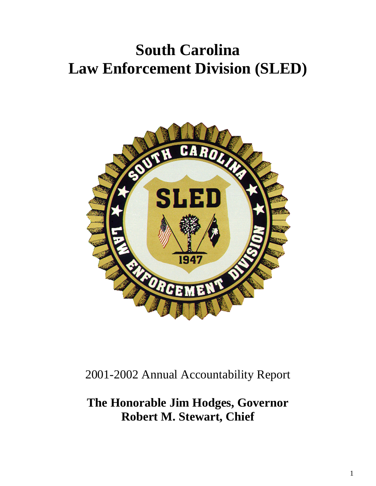# **South Carolina Law Enforcement Division (SLED)**



2001-2002 Annual Accountability Report

**The Honorable Jim Hodges, Governor Robert M. Stewart, Chief**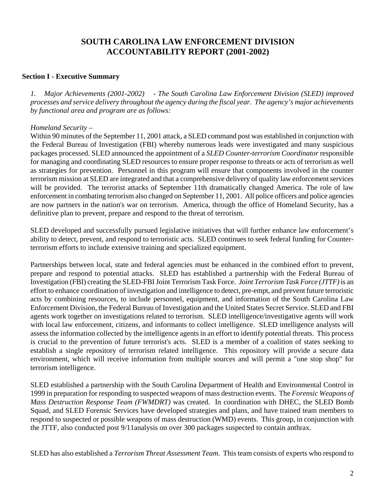# **SOUTH CAROLINA LAW ENFORCEMENT DIVISION ACCOUNTABILITY REPORT (2001-2002)**

#### **Section I - Executive Summary**

*1. Major Achievements (2001-2002) - The South Carolina Law Enforcement Division (SLED) improved processes and service delivery throughout the agency during the fiscal year. The agency's major achievements by functional area and program are as follows:* 

#### *Homeland Security –*

Within 90 minutes of the September 11, 2001 attack, a SLED command post was established in conjunction with the Federal Bureau of Investigation (FBI) whereby numerous leads were investigated and many suspicious packages processed. SLED announced the appointment of a *SLED Counter-terrorism Coordinator* responsible for managing and coordinating SLED resources to ensure proper response to threats or acts of terrorism as well as strategies for prevention. Personnel in this program will ensure that components involved in the counter terrorism mission at SLED are integrated and that a comprehensive delivery of quality law enforcement services will be provided. The terrorist attacks of September 11th dramatically changed America. The role of law enforcement in combating terrorism also changed on September 11, 2001. All police officers and police agencies are now partners in the nation's war on terrorism. America, through the office of Homeland Security, has a definitive plan to prevent, prepare and respond to the threat of terrorism.

SLED developed and successfully pursued legislative initiatives that will further enhance law enforcement's ability to detect, prevent, and respond to terroristic acts. SLED continues to seek federal funding for Counterterrorism efforts to include extensive training and specialized equipment.

Partnerships between local, state and federal agencies must be enhanced in the combined effort to prevent, prepare and respond to potential attacks. SLED has established a partnership with the Federal Bureau of Investigation (FBI) creating the SLED-FBI Joint Terrorism Task Force. *Joint Terrorism Task Force (JTTF)* is an effort to enhance coordination of investigation and intelligence to detect, pre-empt, and prevent future terroristic acts by combining resources, to include personnel, equipment, and information of the South Carolina Law Enforcement Division, the Federal Bureau of Investigation and the United States Secret Service. SLED and FBI agents work together on investigations related to terrorism. SLED intelligence/investigative agents will work with local law enforcement, citizens, and informants to collect intelligence. SLED intelligence analysts will assess the information collected by the intelligence agents in an effort to identify potential threats. This process is crucial to the prevention of future terrorist's acts. SLED is a member of a coalition of states seeking to establish a single repository of terrorism related intelligence. This repository will provide a secure data environment, which will receive information from multiple sources and will permit a "one stop shop" for terrorism intelligence.

SLED established a partnership with the South Carolina Department of Health and Environmental Control in 1999 in preparation for responding to suspected weapons of mass destruction events. The *Forensic Weapons of Mass Destruction Response Team (FWMDRT)* was created. In coordination with DHEC, the SLED Bomb Squad, and SLED Forensic Services have developed strategies and plans, and have trained team members to respond to suspected or possible weapons of mass destruction (WMD) events. This group, in conjunction with the JTTF, also conducted post 9/11analysis on over 300 packages suspected to contain anthrax.

SLED has also established a *Terrorism Threat Assessment Team*. This team consists of experts who respond to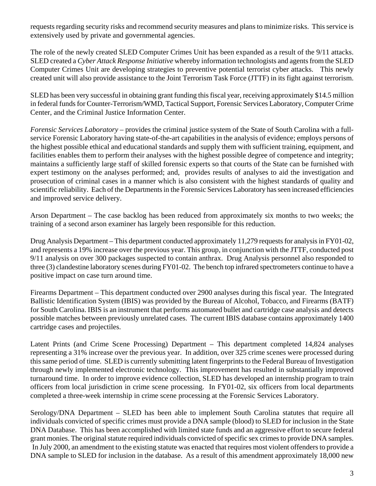requests regarding security risks and recommend security measures and plans to minimize risks. This service is extensively used by private and governmental agencies.

The role of the newly created SLED Computer Crimes Unit has been expanded as a result of the 9/11 attacks. SLED created a *Cyber Attack Response Initiative* whereby information technologists and agents from the SLED Computer Crimes Unit are developing strategies to preventive potential terrorist cyber attacks. This newly created unit will also provide assistance to the Joint Terrorism Task Force (JTTF) in its fight against terrorism.

SLED has been very successful in obtaining grant funding this fiscal year, receiving approximately \$14.5 million in federal funds for Counter-Terrorism/WMD, Tactical Support, Forensic Services Laboratory, Computer Crime Center, and the Criminal Justice Information Center.

*Forensic Services Laboratory* – provides the criminal justice system of the State of South Carolina with a fullservice Forensic Laboratory having state-of-the-art capabilities in the analysis of evidence; employs persons of the highest possible ethical and educational standards and supply them with sufficient training, equipment, and facilities enables them to perform their analyses with the highest possible degree of competence and integrity; maintains a sufficiently large staff of skilled forensic experts so that courts of the State can be furnished with expert testimony on the analyses performed; and, provides results of analyses to aid the investigation and prosecution of criminal cases in a manner which is also consistent with the highest standards of quality and scientific reliability. Each of the Departments in the Forensic Services Laboratory has seen increased efficiencies and improved service delivery.

Arson Department – The case backlog has been reduced from approximately six months to two weeks; the training of a second arson examiner has largely been responsible for this reduction.

Drug Analysis Department – This department conducted approximately 11,279 requests for analysis in FY01-02, and represents a 19% increase over the previous year. This group, in conjunction with the JTTF, conducted post 9/11 analysis on over 300 packages suspected to contain anthrax. Drug Analysis personnel also responded to three (3) clandestine laboratory scenes during FY01-02. The bench top infrared spectrometers continue to have a positive impact on case turn around time.

Firearms Department – This department conducted over 2900 analyses during this fiscal year. The Integrated Ballistic Identification System (IBIS) was provided by the Bureau of Alcohol, Tobacco, and Firearms (BATF) for South Carolina. IBIS is an instrument that performs automated bullet and cartridge case analysis and detects possible matches between previously unrelated cases. The current IBIS database contains approximately 1400 cartridge cases and projectiles.

Latent Prints (and Crime Scene Processing) Department – This department completed 14,824 analyses representing a 31% increase over the previous year. In addition, over 325 crime scenes were processed during this same period of time. SLED is currently submitting latent fingerprints to the Federal Bureau of Investigation through newly implemented electronic technology. This improvement has resulted in substantially improved turnaround time. In order to improve evidence collection, SLED has developed an internship program to train officers from local jurisdiction in crime scene processing. In FY01-02, six officers from local departments completed a three-week internship in crime scene processing at the Forensic Services Laboratory.

Serology/DNA Department – SLED has been able to implement South Carolina statutes that require all individuals convicted of specific crimes must provide a DNA sample (blood) to SLED for inclusion in the State DNA Database. This has been accomplished with limited state funds and an aggressive effort to secure federal grant monies. The original statute required individuals convicted of specific sex crimes to provide DNA samples. In July 2000, an amendment to the existing statute was enacted that requires most violent offenders to provide a DNA sample to SLED for inclusion in the database. As a result of this amendment approximately 18,000 new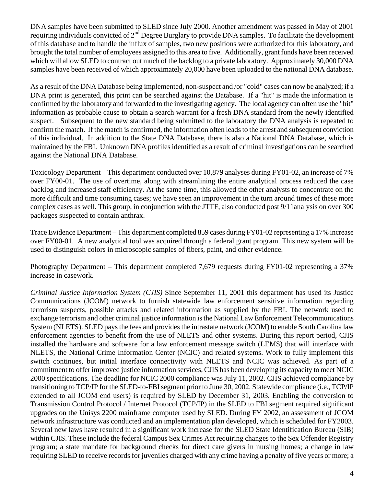DNA samples have been submitted to SLED since July 2000. Another amendment was passed in May of 2001 requiring individuals convicted of 2nd Degree Burglary to provide DNA samples. To facilitate the development of this database and to handle the influx of samples, two new positions were authorized for this laboratory, and brought the total number of employees assigned to this area to five. Additionally, grant funds have been received which will allow SLED to contract out much of the backlog to a private laboratory. Approximately 30,000 DNA samples have been received of which approximately 20,000 have been uploaded to the national DNA database.

As a result of the DNA Database being implemented, non-suspect and /or "cold" cases can now be analyzed; if a DNA print is generated, this print can be searched against the Database. If a "hit" is made the information is confirmed by the laboratory and forwarded to the investigating agency. The local agency can often use the "hit" information as probable cause to obtain a search warrant for a fresh DNA standard from the newly identified suspect. Subsequent to the new standard being submitted to the laboratory the DNA analysis is repeated to confirm the match. If the match is confirmed, the information often leads to the arrest and subsequent conviction of this individual. In addition to the State DNA Database, there is also a National DNA Database, which is maintained by the FBI. Unknown DNA profiles identified as a result of criminal investigations can be searched against the National DNA Database.

Toxicology Department – This department conducted over 10,879 analyses during FY01-02, an increase of 7% over FY00-01. The use of overtime, along with streamlining the entire analytical process reduced the case backlog and increased staff efficiency. At the same time, this allowed the other analysts to concentrate on the more difficult and time consuming cases; we have seen an improvement in the turn around times of these more complex cases as well. This group, in conjunction with the JTTF, also conducted post 9/11analysis on over 300 packages suspected to contain anthrax.

Trace Evidence Department – This department completed 859 cases during FY01-02 representing a 17% increase over FY00-01. A new analytical tool was acquired through a federal grant program. This new system will be used to distinguish colors in microscopic samples of fibers, paint, and other evidence.

Photography Department – This department completed 7,679 requests during FY01-02 representing a 37% increase in casework.

*Criminal Justice Information System (CJIS)* Since September 11, 2001 this department has used its Justice Communications (JCOM) network to furnish statewide law enforcement sensitive information regarding terrorism suspects, possible attacks and related information as supplied by the FBI. The network used to exchange terrorism and other criminal justice information is the National Law Enforcement Telecommunications System (NLETS). SLED pays the fees and provides the intrastate network (JCOM) to enable South Carolina law enforcement agencies to benefit from the use of NLETS and other systems. During this report period, CJIS installed the hardware and software for a law enforcement message switch (LEMS) that will interface with NLETS, the National Crime Information Center (NCIC) and related systems. Work to fully implement this switch continues, but initial interface connectivity with NLETS and NCIC was achieved. As part of a commitment to offer improved justice information services, CJIS has been developing its capacity to meet NCIC 2000 specifications. The deadline for NCIC 2000 compliance was July 11, 2002. CJIS achieved compliance by transitioning to TCP/IP for the SLED-to-FBI segment prior to June 30, 2002. Statewide compliance (i.e., TCP/IP extended to all JCOM end users) is required by SLED by December 31, 2003. Enabling the conversion to Transmission Control Protocol / Internet Protocol (TCP/IP) in the SLED to FBI segment required significant upgrades on the Unisys 2200 mainframe computer used by SLED. During FY 2002, an assessment of JCOM network infrastructure was conducted and an implementation plan developed, which is scheduled for FY2003. Several new laws have resulted in a significant work increase for the SLED State Identification Bureau (SIB) within CJIS. These include the federal Campus Sex Crimes Act requiring changes to the Sex Offender Registry program; a state mandate for background checks for direct care givers in nursing homes; a change in law requiring SLED to receive records for juveniles charged with any crime having a penalty of five years or more; a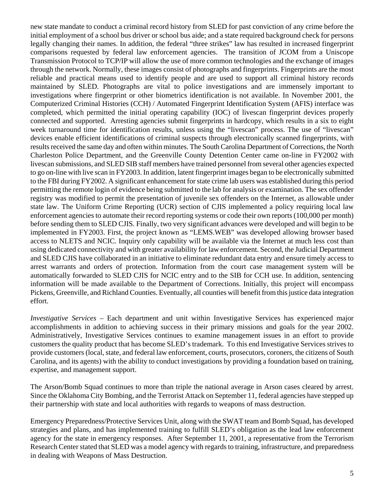new state mandate to conduct a criminal record history from SLED for past conviction of any crime before the initial employment of a school bus driver or school bus aide; and a state required background check for persons legally changing their names. In addition, the federal "three strikes" law has resulted in increased fingerprint comparisons requested by federal law enforcement agencies. The transition of JCOM from a Uniscope Transmission Protocol to TCP/IP will allow the use of more common technologies and the exchange of images through the network. Normally, these images consist of photographs and fingerprints. Fingerprints are the most reliable and practical means used to identify people and are used to support all criminal history records maintained by SLED. Photographs are vital to police investigations and are immensely important to investigations where fingerprint or other biometrics identification is not available. In November 2001, the Computerized Criminal Histories (CCH) / Automated Fingerprint Identification System (AFIS) interface was completed, which permitted the initial operating capability (IOC) of livescan fingerprint devices properly connected and supported. Arresting agencies submit fingerprints in hardcopy, which results in a six to eight week turnaround time for identification results, unless using the "livescan" process. The use of "livescan" devices enable efficient identifications of criminal suspects through electronically scanned fingerprints, with results received the same day and often within minutes. The South Carolina Department of Corrections, the North Charleston Police Department, and the Greenville County Detention Center came on-line in FY2002 with livescan submissions, and SLED SIB staff members have trained personnel from several other agencies expected to go on-line with live scan in FY2003. In addition, latent fingerprint images began to be electronically submitted to the FBI during FY2002. A significant enhancement for state crime lab users was established during this period permitting the remote login of evidence being submitted to the lab for analysis or examination. The sex offender registry was modified to permit the presentation of juvenile sex offenders on the Internet, as allowable under state law. The Uniform Crime Reporting (UCR) section of CJIS implemented a policy requiring local law enforcement agencies to automate their record reporting systems or code their own reports (100,000 per month) before sending them to SLED CJIS. Finally, two very significant advances were developed and will begin to be implemented in FY2003. First, the project known as "LEMS.WEB" was developed allowing browser based access to NLETS and NCIC. Inquiry only capability will be available via the Internet at much less cost than using dedicated connectivity and with greater availability for law enforcement. Second, the Judicial Department and SLED CJIS have collaborated in an initiative to eliminate redundant data entry and ensure timely access to arrest warrants and orders of protection. Information from the court case management system will be automatically forwarded to SLED CJIS for NCIC entry and to the SIB for CCH use. In addition, sentencing information will be made available to the Department of Corrections. Initially, this project will encompass Pickens, Greenville, and Richland Counties. Eventually, all counties will benefit from this justice data integration effort.

*Investigative Services* – Each department and unit within Investigative Services has experienced major accomplishments in addition to achieving success in their primary missions and goals for the year 2002. Administratively, Investigative Services continues to examine management issues in an effort to provide customers the quality product that has become SLED's trademark. To this end Investigative Services strives to provide customers (local, state, and federal law enforcement, courts, prosecutors, coroners, the citizens of South Carolina, and its agents) with the ability to conduct investigations by providing a foundation based on training, expertise, and management support.

The Arson/Bomb Squad continues to more than triple the national average in Arson cases cleared by arrest. Since the Oklahoma City Bombing, and the Terrorist Attack on September 11, federal agencies have stepped up their partnership with state and local authorities with regards to weapons of mass destruction.

Emergency Preparedness/Protective Services Unit, along with the SWAT team and Bomb Squad, has developed strategies and plans, and has implemented training to fulfill SLED's obligation as the lead law enforcement agency for the state in emergency responses. After September 11, 2001, a representative from the Terrorism Research Center stated that SLED was a model agency with regards to training, infrastructure, and preparedness in dealing with Weapons of Mass Destruction.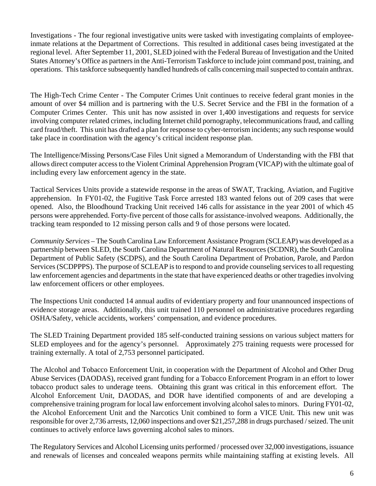Investigations - The four regional investigative units were tasked with investigating complaints of employeeinmate relations at the Department of Corrections. This resulted in additional cases being investigated at the regional level. After September 11, 2001, SLED joined with the Federal Bureau of Investigation and the United States Attorney's Office as partners in the Anti-Terrorism Taskforce to include joint command post, training, and operations. This taskforce subsequently handled hundreds of calls concerning mail suspected to contain anthrax.

The High-Tech Crime Center - The Computer Crimes Unit continues to receive federal grant monies in the amount of over \$4 million and is partnering with the U.S. Secret Service and the FBI in the formation of a Computer Crimes Center. This unit has now assisted in over 1,400 investigations and requests for service involving computer related crimes, including Internet child pornography, telecommunications fraud, and calling card fraud/theft. This unit has drafted a plan for response to cyber-terrorism incidents; any such response would take place in coordination with the agency's critical incident response plan.

The Intelligence/Missing Persons/Case Files Unit signed a Memorandum of Understanding with the FBI that allows direct computer access to the Violent Criminal Apprehension Program (VICAP) with the ultimate goal of including every law enforcement agency in the state.

Tactical Services Units provide a statewide response in the areas of SWAT, Tracking, Aviation, and Fugitive apprehension. In FY01-02, the Fugitive Task Force arrested 183 wanted felons out of 209 cases that were opened. Also, the Bloodhound Tracking Unit received 146 calls for assistance in the year 2001 of which 45 persons were apprehended. Forty-five percent of those calls for assistance-involved weapons. Additionally, the tracking team responded to 12 missing person calls and 9 of those persons were located.

*Community Services* – The South Carolina Law Enforcement Assistance Program (SCLEAP) was developed as a partnership between SLED, the South Carolina Department of Natural Resources (SCDNR), the South Carolina Department of Public Safety (SCDPS), and the South Carolina Department of Probation, Parole, and Pardon Services (SCDPPPS). The purpose of SCLEAP is to respond to and provide counseling services to all requesting law enforcement agencies and departments in the state that have experienced deaths or other tragedies involving law enforcement officers or other employees.

The Inspections Unit conducted 14 annual audits of evidentiary property and four unannounced inspections of evidence storage areas. Additionally, this unit trained 110 personnel on administrative procedures regarding OSHA/Safety, vehicle accidents, workers' compensation, and evidence procedures.

The SLED Training Department provided 185 self-conducted training sessions on various subject matters for SLED employees and for the agency's personnel. Approximately 275 training requests were processed for training externally. A total of 2,753 personnel participated.

The Alcohol and Tobacco Enforcement Unit, in cooperation with the Department of Alcohol and Other Drug Abuse Services (DAODAS), received grant funding for a Tobacco Enforcement Program in an effort to lower tobacco product sales to underage teens. Obtaining this grant was critical in this enforcement effort. The Alcohol Enforcement Unit, DAODAS, and DOR have identified components of and are developing a comprehensive training program for local law enforcement involving alcohol sales to minors. During FY01-02, the Alcohol Enforcement Unit and the Narcotics Unit combined to form a VICE Unit. This new unit was responsible for over 2,736 arrests, 12,060 inspections and over \$21,257,288 in drugs purchased / seized. The unit continues to actively enforce laws governing alcohol sales to minors.

The Regulatory Services and Alcohol Licensing units performed / processed over 32,000 investigations, issuance and renewals of licenses and concealed weapons permits while maintaining staffing at existing levels. All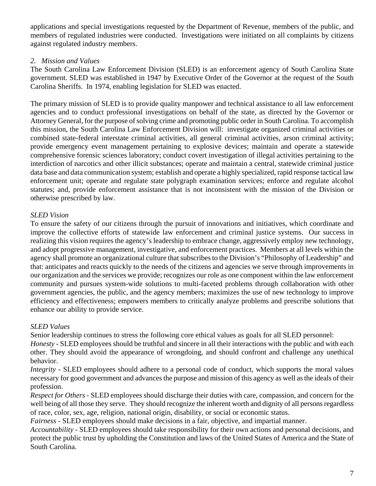applications and special investigations requested by the Department of Revenue, members of the public, and members of regulated industries were conducted. Investigations were initiated on all complaints by citizens against regulated industry members.

## *2. Mission and Values*

The South Carolina Law Enforcement Division (SLED) is an enforcement agency of South Carolina State government. SLED was established in 1947 by Executive Order of the Governor at the request of the South Carolina Sheriffs. In 1974, enabling legislation for SLED was enacted.

The primary mission of SLED is to provide quality manpower and technical assistance to all law enforcement agencies and to conduct professional investigations on behalf of the state, as directed by the Governor or Attorney General, for the purpose of solving crime and promoting public order in South Carolina. To accomplish this mission, the South Carolina Law Enforcement Division will: investigate organized criminal activities or combined state-federal interstate criminal activities, all general criminal activities, arson criminal activity; provide emergency event management pertaining to explosive devices; maintain and operate a statewide comprehensive forensic sciences laboratory; conduct covert investigation of illegal activities pertaining to the interdiction of narcotics and other illicit substances; operate and maintain a central, statewide criminal justice data base and data communication system; establish and operate a highly specialized, rapid response tactical law enforcement unit; operate and regulate state polygraph examination services; enforce and regulate alcohol statutes; and, provide enforcement assistance that is not inconsistent with the mission of the Division or otherwise prescribed by law.

## *SLED Vision*

To ensure the safety of our citizens through the pursuit of innovations and initiatives, which coordinate and improve the collective efforts of statewide law enforcement and criminal justice systems. Our success in realizing this vision requires the agency's leadership to embrace change, aggressively employ new technology, and adopt progressive management, investigative, and enforcement practices. Members at all levels within the agency shall promote an organizational culture that subscribes to the Division's "Philosophy of Leadership" and that: anticipates and reacts quickly to the needs of the citizens and agencies we serve through improvements in our organization and the services we provide; recognizes our role as one component within the law enforcement community and pursues system-wide solutions to multi-faceted problems through collaboration with other government agencies, the public, and the agency members; maximizes the use of new technology to improve efficiency and effectiveness; empowers members to critically analyze problems and prescribe solutions that enhance our ability to provide service.

#### *SLED Values*

Senior leadership continues to stress the following core ethical values as goals for all SLED personnel:

*Honesty -* SLED employees should be truthful and sincere in all their interactions with the public and with each other. They should avoid the appearance of wrongdoing, and should confront and challenge any unethical behavior.

*Integrity -* SLED employees should adhere to a personal code of conduct, which supports the moral values necessary for good government and advances the purpose and mission of this agency as well as the ideals of their profession.

*Respect for Others -* SLED employees should discharge their duties with care, compassion, and concern for the well being of all those they serve. They should recognize the inherent worth and dignity of all persons regardless of race, color, sex, age, religion, national origin, disability, or social or economic status.

*Fairness -* SLED employees should make decisions in a fair, objective, and impartial manner.

*Accountability -* SLED employees should take responsibility for their own actions and personal decisions, and protect the public trust by upholding the Constitution and laws of the United States of America and the State of South Carolina.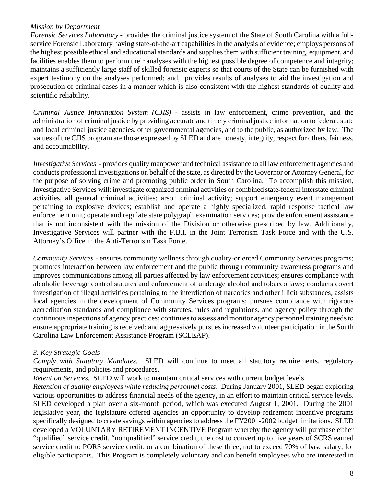#### *Mission by Department*

*Forensic Services Laboratory -* provides the criminal justice system of the State of South Carolina with a fullservice Forensic Laboratory having state-of-the-art capabilities in the analysis of evidence; employs persons of the highest possible ethical and educational standards and supplies them with sufficient training, equipment, and facilities enables them to perform their analyses with the highest possible degree of competence and integrity; maintains a sufficiently large staff of skilled forensic experts so that courts of the State can be furnished with expert testimony on the analyses performed; and, provides results of analyses to aid the investigation and prosecution of criminal cases in a manner which is also consistent with the highest standards of quality and scientific reliability.

 *Criminal Justice Information System (CJIS)* - assists in law enforcement, crime prevention, and the administration of criminal justice by providing accurate and timely criminal justice information to federal, state and local criminal justice agencies, other governmental agencies, and to the public, as authorized by law. The values of the CJIS program are those expressed by SLED and are honesty, integrity, respect for others, fairness, and accountability.

*Investigative Services* - provides quality manpower and technical assistance to all law enforcement agencies and conducts professional investigations on behalf of the state, as directed by the Governor or Attorney General, for the purpose of solving crime and promoting public order in South Carolina. To accomplish this mission, Investigative Services will: investigate organized criminal activities or combined state-federal interstate criminal activities, all general criminal activities; arson criminal activity; support emergency event management pertaining to explosive devices; establish and operate a highly specialized, rapid response tactical law enforcement unit; operate and regulate state polygraph examination services; provide enforcement assistance that is not inconsistent with the mission of the Division or otherwise prescribed by law. Additionally, Investigative Services will partner with the F.B.I. in the Joint Terrorism Task Force and with the U.S. Attorney's Office in the Anti-Terrorism Task Force.

*Community Services* - ensures community wellness through quality-oriented Community Services programs; promotes interaction between law enforcement and the public through community awareness programs and improves communications among all parties affected by law enforcement activities; ensures compliance with alcoholic beverage control statutes and enforcement of underage alcohol and tobacco laws; conducts covert investigation of illegal activities pertaining to the interdiction of narcotics and other illicit substances; assists local agencies in the development of Community Services programs; pursues compliance with rigorous accreditation standards and compliance with statutes, rules and regulations, and agency policy through the continuous inspections of agency practices; continues to assess and monitor agency personnel training needs to ensure appropriate training is received; and aggressively pursues increased volunteer participation in the South Carolina Law Enforcement Assistance Program (SCLEAP).

## *3. Key Strategic Goals*

*Comply with Statutory Mandates.* SLED will continue to meet all statutory requirements, regulatory requirements, and policies and procedures.

*Retention Services.* SLED will work to maintain critical services with current budget levels.

*Retention of quality employees while reducing personnel costs*. During January 2001, SLED began exploring various opportunities to address financial needs of the agency, in an effort to maintain critical service levels. SLED developed a plan over a six-month period, which was executed August 1, 2001. During the 2001 legislative year, the legislature offered agencies an opportunity to develop retirement incentive programs specifically designed to create savings within agencies to address the FY2001-2002 budget limitations. SLED developed a VOLUNTARY RETIREMENT INCENTIVE Program whereby the agency will purchase either "qualified" service credit, "nonqualified" service credit, the cost to convert up to five years of SCRS earned service credit to PORS service credit, or a combination of these three, not to exceed 70% of base salary, for eligible participants. This Program is completely voluntary and can benefit employees who are interested in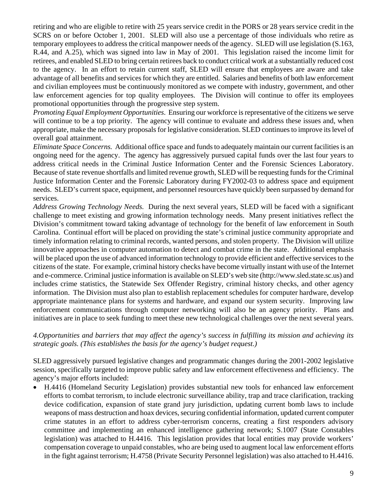retiring and who are eligible to retire with 25 years service credit in the PORS or 28 years service credit in the SCRS on or before October 1, 2001. SLED will also use a percentage of those individuals who retire as temporary employees to address the critical manpower needs of the agency. SLED will use legislation (S.163, R.44, and A.25), which was signed into law in May of 2001. This legislation raised the income limit for retirees, and enabled SLED to bring certain retirees back to conduct critical work at a substantially reduced cost to the agency. In an effort to retain current staff, SLED will ensure that employees are aware and take advantage of all benefits and services for which they are entitled. Salaries and benefits of both law enforcement and civilian employees must be continuously monitored as we compete with industry, government, and other law enforcement agencies for top quality employees. The Division will continue to offer its employees promotional opportunities through the progressive step system.

*Promoting Equal Employment Opportunities*. Ensuring our workforce is representative of the citizens we serve will continue to be a top priority. The agency will continue to evaluate and address these issues and, when appropriate, make the necessary proposals for legislative consideration. SLED continues to improve its level of overall goal attainment.

*Eliminate Space Concerns.* Additional office space and funds to adequately maintain our current facilities is an ongoing need for the agency. The agency has aggressively pursued capital funds over the last four years to address critical needs in the Criminal Justice Information Center and the Forensic Sciences Laboratory. Because of state revenue shortfalls and limited revenue growth, SLED will be requesting funds for the Criminal Justice Information Center and the Forensic Laboratory during FY2002-03 to address space and equipment needs. SLED's current space, equipment, and personnel resources have quickly been surpassed by demand for services.

*Address Growing Technology Needs.* During the next several years, SLED will be faced with a significant challenge to meet existing and growing information technology needs. Many present initiatives reflect the Division's commitment toward taking advantage of technology for the benefit of law enforcement in South Carolina. Continual effort will be placed on providing the state's criminal justice community appropriate and timely information relating to criminal records, wanted persons, and stolen property. The Division will utilize innovative approaches in computer automation to detect and combat crime in the state. Additional emphasis will be placed upon the use of advanced information technology to provide efficient and effective services to the citizens of the state. For example, criminal history checks have become virtually instant with use of the Internet and e-commerce. Criminal justice information is available on SLED's web site (http://www.sled.state.sc.us) and includes crime statistics, the Statewide Sex Offender Registry, criminal history checks, and other agency information. The Division must also plan to establish replacement schedules for computer hardware, develop appropriate maintenance plans for systems and hardware, and expand our system security. Improving law enforcement communications through computer networking will also be an agency priority. Plans and initiatives are in place to seek funding to meet these new technological challenges over the next several years.

#### *4.Opportunities and barriers that may affect the agency's success in fulfilling its mission and achieving its strategic goals. (This establishes the basis for the agency's budget request.)*

SLED aggressively pursued legislative changes and programmatic changes during the 2001-2002 legislative session, specifically targeted to improve public safety and law enforcement effectiveness and efficiency. The agency's major efforts included:

• H.4416 (Homeland Security Legislation) provides substantial new tools for enhanced law enforcement efforts to combat terrorism, to include electronic surveillance ability, trap and trace clarification, tracking device codification, expansion of state grand jury jurisdiction, updating current bomb laws to include weapons of mass destruction and hoax devices, securing confidential information, updated current computer crime statutes in an effort to address cyber-terrorism concerns, creating a first responders advisory committee and implementing an enhanced intelligence gathering network; S.1007 (State Constables legislation) was attached to H.4416. This legislation provides that local entities may provide workers' compensation coverage to unpaid constables, who are being used to augment local law enforcement efforts in the fight against terrorism; H.4758 (Private Security Personnel legislation) was also attached to H.4416.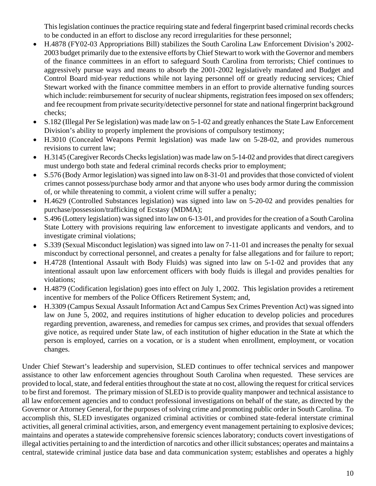This legislation continues the practice requiring state and federal fingerprint based criminal records checks to be conducted in an effort to disclose any record irregularities for these personnel;

- H.4878 (FY02-03 Appropriations Bill) stabilizes the South Carolina Law Enforcement Division's 2002- 2003 budget primarily due to the extensive efforts by Chief Stewart to work with the Governor and members of the finance committees in an effort to safeguard South Carolina from terrorists; Chief continues to aggressively pursue ways and means to absorb the 2001-2002 legislatively mandated and Budget and Control Board mid-year reductions while not laying personnel off or greatly reducing services; Chief Stewart worked with the finance committee members in an effort to provide alternative funding sources which include: reimbursement for security of nuclear shipments, registration fees imposed on sex offenders; and fee recoupment from private security/detective personnel for state and national fingerprint background checks;
- S.182 (Illegal Per Se legislation) was made law on 5-1-02 and greatly enhances the State Law Enforcement Division's ability to properly implement the provisions of compulsory testimony;
- H.3010 (Concealed Weapons Permit legislation) was made law on 5-28-02, and provides numerous revisions to current law;
- H.3145 (Caregiver Records Checks legislation) was made law on 5-14-02 and provides that direct caregivers must undergo both state and federal criminal records checks prior to employment;
- S.576 (Body Armor legislation) was signed into law on 8-31-01 and provides that those convicted of violent crimes cannot possess/purchase body armor and that anyone who uses body armor during the commission of, or while threatening to commit, a violent crime will suffer a penalty;
- H.4629 (Controlled Substances legislation) was signed into law on 5-20-02 and provides penalties for purchase/possession/trafficking of Ecstasy (MDMA);
- S.496 (Lottery legislation) was signed into law on 6-13-01, and provides for the creation of a South Carolina State Lottery with provisions requiring law enforcement to investigate applicants and vendors, and to investigate criminal violations;
- S.339 (Sexual Misconduct legislation) was signed into law on 7-11-01 and increases the penalty for sexual misconduct by correctional personnel, and creates a penalty for false allegations and for failure to report;
- H.4728 (Intentional Assault with Body Fluids) was signed into law on 5-1-02 and provides that any intentional assault upon law enforcement officers with body fluids is illegal and provides penalties for violations;
- H.4879 (Codification legislation) goes into effect on July 1, 2002. This legislation provides a retirement incentive for members of the Police Officers Retirement System; and,
- H.3309 (Campus Sexual Assault Information Act and Campus Sex Crimes Prevention Act) was signed into law on June 5, 2002, and requires institutions of higher education to develop policies and procedures regarding prevention, awareness, and remedies for campus sex crimes, and provides that sexual offenders give notice, as required under State law, of each institution of higher education in the State at which the person is employed, carries on a vocation, or is a student when enrollment, employment, or vocation changes.

Under Chief Stewart's leadership and supervision, SLED continues to offer technical services and manpower assistance to other law enforcement agencies throughout South Carolina when requested. These services are provided to local, state, and federal entities throughout the state at no cost, allowing the request for critical services to be first and foremost. The primary mission of SLED is to provide quality manpower and technical assistance to all law enforcement agencies and to conduct professional investigations on behalf of the state, as directed by the Governor or Attorney General, for the purposes of solving crime and promoting public order in South Carolina. To accomplish this, SLED investigates organized criminal activities or combined state-federal interstate criminal activities, all general criminal activities, arson, and emergency event management pertaining to explosive devices; maintains and operates a statewide comprehensive forensic sciences laboratory; conducts covert investigations of illegal activities pertaining to and the interdiction of narcotics and other illicit substances; operates and maintains a central, statewide criminal justice data base and data communication system; establishes and operates a highly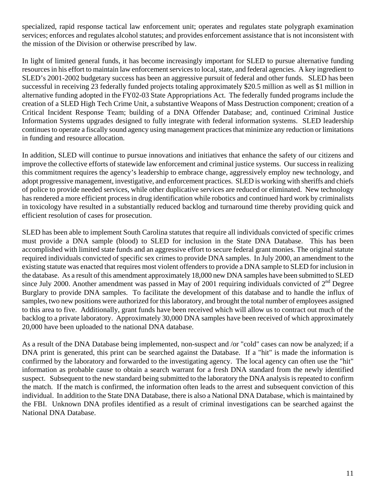specialized, rapid response tactical law enforcement unit; operates and regulates state polygraph examination services; enforces and regulates alcohol statutes; and provides enforcement assistance that is not inconsistent with the mission of the Division or otherwise prescribed by law.

In light of limited general funds, it has become increasingly important for SLED to pursue alternative funding resources in his effort to maintain law enforcement services to local, state, and federal agencies. A key ingredient to SLED's 2001-2002 budgetary success has been an aggressive pursuit of federal and other funds. SLED has been successful in receiving 23 federally funded projects totaling approximately \$20.5 million as well as \$1 million in alternative funding adopted in the FY02-03 State Appropriations Act. The federally funded programs include the creation of a SLED High Tech Crime Unit, a substantive Weapons of Mass Destruction component; creation of a Critical Incident Response Team; building of a DNA Offender Database; and, continued Criminal Justice Information Systems upgrades designed to fully integrate with federal information systems. SLED leadership continues to operate a fiscally sound agency using management practices that minimize any reduction or limitations in funding and resource allocation.

In addition, SLED will continue to pursue innovations and initiatives that enhance the safety of our citizens and improve the collective efforts of statewide law enforcement and criminal justice systems. Our success in realizing this commitment requires the agency's leadership to embrace change, aggressively employ new technology, and adopt progressive management, investigative, and enforcement practices. SLED is working with sheriffs and chiefs of police to provide needed services, while other duplicative services are reduced or eliminated. New technology has rendered a more efficient process in drug identification while robotics and continued hard work by criminalists in toxicology have resulted in a substantially reduced backlog and turnaround time thereby providing quick and efficient resolution of cases for prosecution.

SLED has been able to implement South Carolina statutes that require all individuals convicted of specific crimes must provide a DNA sample (blood) to SLED for inclusion in the State DNA Database. This has been accomplished with limited state funds and an aggressive effort to secure federal grant monies. The original statute required individuals convicted of specific sex crimes to provide DNA samples. In July 2000, an amendment to the existing statute was enacted that requires most violent offenders to provide a DNA sample to SLED for inclusion in the database. As a result of this amendment approximately 18,000 new DNA samples have been submitted to SLED since July 2000. Another amendment was passed in May of 2001 requiring individuals convicted of  $2^{nd}$  Degree Burglary to provide DNA samples. To facilitate the development of this database and to handle the influx of samples, two new positions were authorized for this laboratory, and brought the total number of employees assigned to this area to five. Additionally, grant funds have been received which will allow us to contract out much of the backlog to a private laboratory. Approximately 30,000 DNA samples have been received of which approximately 20,000 have been uploaded to the national DNA database.

As a result of the DNA Database being implemented, non-suspect and /or "cold" cases can now be analyzed; if a DNA print is generated, this print can be searched against the Database. If a "hit" is made the information is confirmed by the laboratory and forwarded to the investigating agency. The local agency can often use the "hit" information as probable cause to obtain a search warrant for a fresh DNA standard from the newly identified suspect. Subsequent to the new standard being submitted to the laboratory the DNA analysis is repeated to confirm the match. If the match is confirmed, the information often leads to the arrest and subsequent conviction of this individual. In addition to the State DNA Database, there is also a National DNA Database, which is maintained by the FBI. Unknown DNA profiles identified as a result of criminal investigations can be searched against the National DNA Database.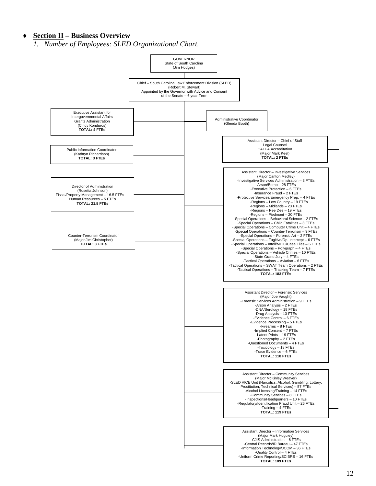#### ♦ **Section II – Business Overview**

*1. Number of Employees: SLED Organizational Chart.*

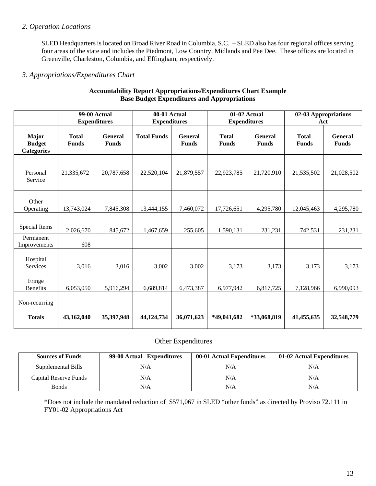#### *2. Operation Locations*

SLED Headquarters is located on Broad River Road in Columbia, S.C. – SLED also has four regional offices serving four areas of the state and includes the Piedmont, Low Country, Midlands and Pee Dee. These offices are located in Greenville, Charleston, Columbia, and Effingham, respectively.

#### *3. Appropriations/Expenditures Chart*

|                                                    |                              | <b>99-00 Actual</b><br><b>Expenditures</b> | 00-01 Actual<br>01-02 Actual<br><b>Expenditures</b><br><b>Expenditures</b> |                                | 02-03 Appropriations<br>Act  |                                |                              |                                |
|----------------------------------------------------|------------------------------|--------------------------------------------|----------------------------------------------------------------------------|--------------------------------|------------------------------|--------------------------------|------------------------------|--------------------------------|
| <b>Major</b><br><b>Budget</b><br><b>Categories</b> | <b>Total</b><br><b>Funds</b> | <b>General</b><br><b>Funds</b>             | <b>Total Funds</b>                                                         | <b>General</b><br><b>Funds</b> | <b>Total</b><br><b>Funds</b> | <b>General</b><br><b>Funds</b> | <b>Total</b><br><b>Funds</b> | <b>General</b><br><b>Funds</b> |
| Personal<br>Service                                | 21,335,672                   | 20,787,658                                 | 22,520,104                                                                 | 21,879,557                     | 22,923,785                   | 21,720,910                     | 21,535,502                   | 21,028,502                     |
| Other<br>Operating                                 | 13,743,024                   | 7,845,308                                  | 13,444,155                                                                 | 7,460,072                      | 17,726,651                   | 4,295,780                      | 12,045,463                   | 4,295,780                      |
| Special Items                                      | 2,026,670                    | 845,672                                    | 1,467,659                                                                  | 255,605                        | 1,590,131                    | 231,231                        | 742,531                      | 231,231                        |
| Permanent<br>Improvements                          | 608                          |                                            |                                                                            |                                |                              |                                |                              |                                |
| Hospital<br>Services                               | 3,016                        | 3,016                                      | 3,002                                                                      | 3,002                          | 3,173                        | 3,173                          | 3,173                        | 3,173                          |
| Fringe<br><b>Benefits</b>                          | 6,053,050                    | 5,916,294                                  | 6,689,814                                                                  | 6,473,387                      | 6,977,942                    | 6,817,725                      | 7,128,966                    | 6,990,093                      |
| Non-recurring                                      |                              |                                            |                                                                            |                                |                              |                                |                              |                                |
| <b>Totals</b>                                      | 43,162,040                   | 35,397,948                                 | 44,124,734                                                                 | 36,071,623                     | *49,041,682                  | *33,068,819                    | 41,455,635                   | 32,548,779                     |

#### **Accountability Report Appropriations/Expenditures Chart Example Base Budget Expenditures and Appropriations**

#### Other Expenditures

| <b>Sources of Funds</b> | 99-00 Actual Expenditures | 00-01 Actual Expenditures | 01-02 Actual Expenditures |
|-------------------------|---------------------------|---------------------------|---------------------------|
| Supplemental Bills      | N/A                       | N/A                       | N/A                       |
| Capital Reserve Funds   | N/A                       | N/A                       | N/A                       |
| <b>Bonds</b>            | N/A                       | N/A                       | N/A                       |

\*Does not include the mandated reduction of \$571,067 in SLED "other funds" as directed by Proviso 72.111 in FY01-02 Appropriations Act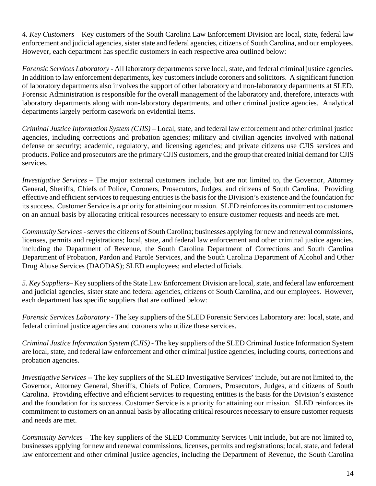*4. Key Customers –* Key customers of the South Carolina Law Enforcement Division are local, state, federal law enforcement and judicial agencies, sister state and federal agencies, citizens of South Carolina, and our employees. However, each department has specific customers in each respective area outlined below:

*Forensic Services Laboratory* - All laboratory departments serve local, state, and federal criminal justice agencies. In addition to law enforcement departments, key customers include coroners and solicitors. A significant function of laboratory departments also involves the support of other laboratory and non-laboratory departments at SLED. Forensic Administration is responsible for the overall management of the laboratory and, therefore, interacts with laboratory departments along with non-laboratory departments, and other criminal justice agencies. Analytical departments largely perform casework on evidential items.

*Criminal Justice Information System (CJIS)* – Local, state, and federal law enforcement and other criminal justice agencies, including corrections and probation agencies; military and civilian agencies involved with national defense or security; academic, regulatory, and licensing agencies; and private citizens use CJIS services and products. Police and prosecutors are the primary CJIS customers, and the group that created initial demand for CJIS services.

*Investigative Services* – The major external customers include, but are not limited to, the Governor, Attorney General, Sheriffs, Chiefs of Police, Coroners, Prosecutors, Judges, and citizens of South Carolina. Providing effective and efficient services to requesting entities is the basis for the Division's existence and the foundation for its success. Customer Service is a priority for attaining our mission. SLED reinforces its commitment to customers on an annual basis by allocating critical resources necessary to ensure customer requests and needs are met.

*Community Services -* serves the citizens of South Carolina; businesses applying for new and renewal commissions, licenses, permits and registrations; local, state, and federal law enforcement and other criminal justice agencies, including the Department of Revenue, the South Carolina Department of Corrections and South Carolina Department of Probation, Pardon and Parole Services, and the South Carolina Department of Alcohol and Other Drug Abuse Services (DAODAS); SLED employees; and elected officials.

*5. Key Suppliers–* Key suppliers of the State Law Enforcement Division are local, state, and federal law enforcement and judicial agencies, sister state and federal agencies, citizens of South Carolina, and our employees. However, each department has specific suppliers that are outlined below:

*Forensic Services Laboratory* - The key suppliers of the SLED Forensic Services Laboratory are: local, state, and federal criminal justice agencies and coroners who utilize these services.

*Criminal Justice Information System (CJIS)* - The key suppliers of the SLED Criminal Justice Information System are local, state, and federal law enforcement and other criminal justice agencies, including courts, corrections and probation agencies.

*Investigative Services* -- The key suppliers of the SLED Investigative Services' include, but are not limited to, the Governor, Attorney General, Sheriffs, Chiefs of Police, Coroners, Prosecutors, Judges, and citizens of South Carolina. Providing effective and efficient services to requesting entities is the basis for the Division's existence and the foundation for its success. Customer Service is a priority for attaining our mission. SLED reinforces its commitment to customers on an annual basis by allocating critical resources necessary to ensure customer requests and needs are met.

*Community Services –* The key suppliers of the SLED Community Services Unit include, but are not limited to, businesses applying for new and renewal commissions, licenses, permits and registrations; local, state, and federal law enforcement and other criminal justice agencies, including the Department of Revenue, the South Carolina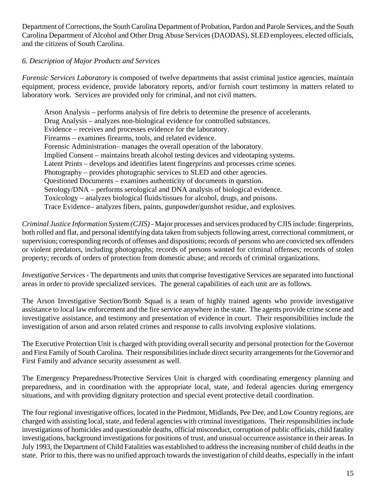Department of Corrections, the South Carolina Department of Probation, Pardon and Parole Services, and the South Carolina Department of Alcohol and Other Drug Abuse Services (DAODAS), SLED employees, elected officials, and the citizens of South Carolina.

## *6. Description of Major Products and Services*

*Forensic Services Laboratory* is composed of twelve departments that assist criminal justice agencies, maintain equipment, process evidence, provide laboratory reports, and/or furnish court testimony in matters related to laboratory work. Services are provided only for criminal, and not civil matters.

Arson Analysis – performs analysis of fire debris to determine the presence of accelerants. Drug Analysis – analyzes non-biological evidence for controlled substances. Evidence – receives and processes evidence for the laboratory. Firearms – examines firearms, tools, and related evidence. Forensic Administration– manages the overall operation of the laboratory. Implied Consent – maintains breath alcohol testing devices and videotaping systems. Latent Prints – develops and identifies latent fingerprints and processes crime scenes. Photography – provides photographic services to SLED and other agencies. Questioned Documents – examines authenticity of documents in question. Serology/DNA – performs serological and DNA analysis of biological evidence. Toxicology – analyzes biological fluids/tissues for alcohol, drugs, and poisons. Trace Evidence– analyzes fibers, paints, gunpowder/gunshot residue, and explosives.

*Criminal Justice Information System (CJIS)* - Major processes and services produced by CJIS include: fingerprints, both rolled and flat, and personal identifying data taken from subjects following arrest, correctional commitment, or supervision; corresponding records of offenses and dispositions; records of persons who are convicted sex offenders or violent predators, including photographs; records of persons wanted for criminal offenses; records of stolen property; records of orders of protection from domestic abuse; and records of criminal organizations.

*Investigative Services* - The departments and units that comprise Investigative Services are separated into functional areas in order to provide specialized services. The general capabilities of each unit are as follows.

The Arson Investigative Section/Bomb Squad is a team of highly trained agents who provide investigative assistance to local law enforcement and the fire service anywhere in the state. The agents provide crime scene and investigative assistance, and testimony and presentation of evidence in court. Their responsibilities include the investigation of arson and arson related crimes and response to calls involving explosive violations.

The Executive Protection Unit is charged with providing overall security and personal protection for the Governor and First Family of South Carolina. Their responsibilities include direct security arrangements for the Governor and First Family and advance security assessment as well.

The Emergency Preparedness/Protective Services Unit is charged with coordinating emergency planning and preparedness, and in coordination with the appropriate local, state, and federal agencies during emergency situations, and with providing dignitary protection and special event protective detail coordination.

The four regional investigative offices, located in the Piedmont, Midlands, Pee Dee, and Low Country regions, are charged with assisting local, state, and federal agencies with criminal investigations. Their responsibilities include investigations of homicides and questionable deaths, official misconduct, corruption of public officials, child fatality investigations, background investigations for positions of trust, and unusual occurrence assistance in their areas. In July 1993, the Department of Child Fatalities was established to address the increasing number of child deaths in the state. Prior to this, there was no unified approach towards the investigation of child deaths, especially in the infant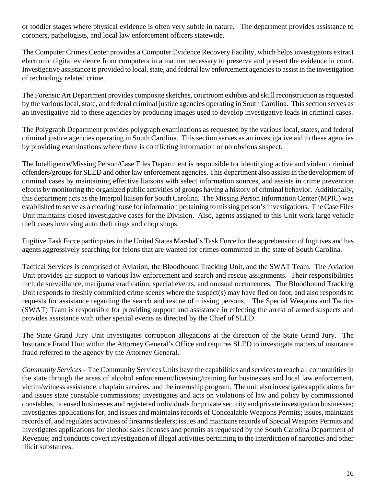or toddler stages where physical evidence is often very subtle in nature. The department provides assistance to coroners, pathologists, and local law enforcement officers statewide.

The Computer Crimes Center provides a Computer Evidence Recovery Facility, which helps investigators extract electronic digital evidence from computers in a manner necessary to preserve and present the evidence in court. Investigative assistance is provided to local, state, and federal law enforcement agencies to assist in the investigation of technology related crime.

The Forensic Art Department provides composite sketches, courtroom exhibits and skull reconstruction as requested by the various local, state, and federal criminal justice agencies operating in South Carolina. This section serves as an investigative aid to these agencies by producing images used to develop investigative leads in criminal cases.

The Polygraph Department provides polygraph examinations as requested by the various local, states, and federal criminal justice agencies operating in South Carolina. This section serves as an investigative aid to these agencies by providing examinations where there is conflicting information or no obvious suspect.

The Intelligence/Missing Person/Case Files Department is responsible for identifying active and violent criminal offenders/groups for SLED and other law enforcement agencies. This department also assists in the development of criminal cases by maintaining effective liaisons with select information sources, and assists in crime prevention efforts by monitoring the organized public activities of groups having a history of criminal behavior. Additionally, this department acts as the Interpol liaison for South Carolina. The Missing Person Information Center (MPIC) was established to serve as a clearinghouse for information pertaining to missing person's investigations. The Case Files Unit maintains closed investigative cases for the Division. Also, agents assigned to this Unit work large vehicle theft cases involving auto theft rings and chop shops.

Fugitive Task Force participates in the United States Marshal's Task Force for the apprehension of fugitives and has agents aggressively searching for felons that are wanted for crimes committed in the state of South Carolina.

Tactical Services is comprised of Aviation, the Bloodhound Tracking Unit, and the SWAT Team. The Aviation Unit provides air support to various law enforcement and search and rescue assignments. Their responsibilities include surveillance, marijuana eradication, special events, and unusual occurrences. The Bloodhound Tracking Unit responds to freshly committed crime scenes where the suspect(s) may have fled on foot, and also responds to requests for assistance regarding the search and rescue of missing persons. The Special Weapons and Tactics (SWAT) Team is responsible for providing support and assistance in effecting the arrest of armed suspects and provides assistance with other special events as directed by the Chief of SLED.

The State Grand Jury Unit investigates corruption allegations at the direction of the State Grand Jury. The Insurance Fraud Unit within the Attorney General's Office and requires SLED to investigate matters of insurance fraud referred to the agency by the Attorney General.

*Community Services* – The Community Services Units have the capabilities and services to reach all communities in the state through the areas of alcohol enforcement/licensing/training for businesses and local law enforcement, victim/witness assistance, chaplain services, and the internship program. The unit also investigates applications for and issues state constable commissions; investigates and acts on violations of law and policy by commissioned constables, licensed businesses and registered individuals for private security and private investigation businesses; investigates applications for, and issues and maintains records of Concealable Weapons Permits; issues, maintains records of, and regulates activities of firearms dealers; issues and maintains records of Special Weapons Permits and investigates applications for alcohol sales licenses and permits as requested by the South Carolina Department of Revenue; and conducts covert investigation of illegal activities pertaining to the interdiction of narcotics and other illicit substances.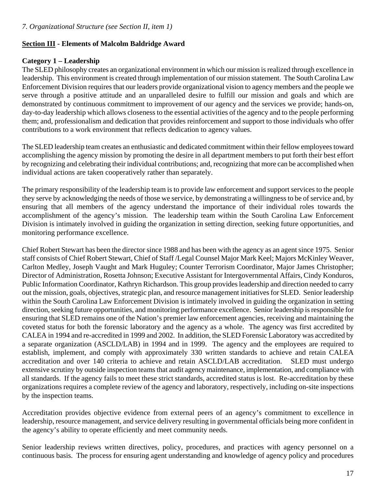## **Section III - Elements of Malcolm Baldridge Award**

## **Category 1 – Leadership**

The SLED philosophy creates an organizational environment in which our mission is realized through excellence in leadership. This environment is created through implementation of our mission statement. The South Carolina Law Enforcement Division requires that our leaders provide organizational vision to agency members and the people we serve through a positive attitude and an unparalleled desire to fulfill our mission and goals and which are demonstrated by continuous commitment to improvement of our agency and the services we provide; hands-on, day-to-day leadership which allows closeness to the essential activities of the agency and to the people performing them; and, professionalism and dedication that provides reinforcement and support to those individuals who offer contributions to a work environment that reflects dedication to agency values.

The SLED leadership team creates an enthusiastic and dedicated commitment within their fellow employees toward accomplishing the agency mission by promoting the desire in all department members to put forth their best effort by recognizing and celebrating their individual contributions; and, recognizing that more can be accomplished when individual actions are taken cooperatively rather than separately.

The primary responsibility of the leadership team is to provide law enforcement and support services to the people they serve by acknowledging the needs of those we service, by demonstrating a willingness to be of service and, by ensuring that all members of the agency understand the importance of their individual roles towards the accomplishment of the agency's mission. The leadership team within the South Carolina Law Enforcement Division is intimately involved in guiding the organization in setting direction, seeking future opportunities, and monitoring performance excellence.

Chief Robert Stewart has been the director since 1988 and has been with the agency as an agent since 1975. Senior staff consists of Chief Robert Stewart, Chief of Staff /Legal Counsel Major Mark Keel; Majors McKinley Weaver, Carlton Medley, Joseph Vaught and Mark Huguley; Counter Terrorism Coordinator, Major James Christopher; Director of Administration, Rosetta Johnson; Executive Assistant for Intergovernmental Affairs, Cindy Konduros, Public Information Coordinator, Kathryn Richardson. This group provides leadership and direction needed to carry out the mission, goals, objectives, strategic plan, and resource management initiatives for SLED. Senior leadership within the South Carolina Law Enforcement Division is intimately involved in guiding the organization in setting direction, seeking future opportunities, and monitoring performance excellence. Senior leadership is responsible for ensuring that SLED remains one of the Nation's premier law enforcement agencies, receiving and maintaining the coveted status for both the forensic laboratory and the agency as a whole. The agency was first accredited by CALEA in 1994 and re-accredited in 1999 and 2002. In addition, the SLED Forensic Laboratory was accredited by a separate organization (ASCLD/LAB) in 1994 and in 1999. The agency and the employees are required to establish, implement, and comply with approximately 330 written standards to achieve and retain CALEA accreditation and over 140 criteria to achieve and retain ASCLD/LAB accreditation. SLED must undergo extensive scrutiny by outside inspection teams that audit agency maintenance, implementation, and compliance with all standards. If the agency fails to meet these strict standards, accredited status is lost. Re-accreditation by these organizations requires a complete review of the agency and laboratory, respectively, including on-site inspections by the inspection teams.

Accreditation provides objective evidence from external peers of an agency's commitment to excellence in leadership, resource management, and service delivery resulting in governmental officials being more confident in the agency's ability to operate efficiently and meet community needs.

Senior leadership reviews written directives, policy, procedures, and practices with agency personnel on a continuous basis. The process for ensuring agent understanding and knowledge of agency policy and procedures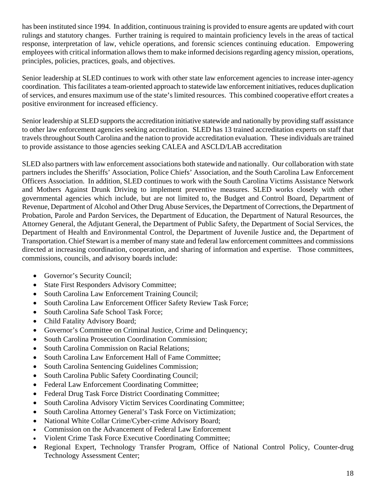has been instituted since 1994. In addition, continuous training is provided to ensure agents are updated with court rulings and statutory changes. Further training is required to maintain proficiency levels in the areas of tactical response, interpretation of law, vehicle operations, and forensic sciences continuing education. Empowering employees with critical information allows them to make informed decisions regarding agency mission, operations, principles, policies, practices, goals, and objectives.

Senior leadership at SLED continues to work with other state law enforcement agencies to increase inter-agency coordination. This facilitates a team-oriented approach to statewide law enforcement initiatives, reduces duplication of services, and ensures maximum use of the state's limited resources. This combined cooperative effort creates a positive environment for increased efficiency.

Senior leadership at SLED supports the accreditation initiative statewide and nationally by providing staff assistance to other law enforcement agencies seeking accreditation. SLED has 13 trained accreditation experts on staff that travels throughout South Carolina and the nation to provide accreditation evaluation. These individuals are trained to provide assistance to those agencies seeking CALEA and ASCLD/LAB accreditation

SLED also partners with law enforcement associations both statewide and nationally. Our collaboration with state partners includes the Sheriffs' Association, Police Chiefs' Association, and the South Carolina Law Enforcement Officers Association. In addition, SLED continues to work with the South Carolina Victims Assistance Network and Mothers Against Drunk Driving to implement preventive measures. SLED works closely with other governmental agencies which include, but are not limited to, the Budget and Control Board, Department of Revenue, Department of Alcohol and Other Drug Abuse Services, the Department of Corrections, the Department of Probation, Parole and Pardon Services, the Department of Education, the Department of Natural Resources, the Attorney General, the Adjutant General, the Department of Public Safety, the Department of Social Services, the Department of Health and Environmental Control, the Department of Juvenile Justice and, the Department of Transportation. Chief Stewart is a member of many state and federal law enforcement committees and commissions directed at increasing coordination, cooperation, and sharing of information and expertise. Those committees, commissions, councils, and advisory boards include:

- Governor's Security Council;
- State First Responders Advisory Committee;
- South Carolina Law Enforcement Training Council;
- South Carolina Law Enforcement Officer Safety Review Task Force;
- South Carolina Safe School Task Force:
- Child Fatality Advisory Board;
- Governor's Committee on Criminal Justice, Crime and Delinquency;
- South Carolina Prosecution Coordination Commission;
- South Carolina Commission on Racial Relations:
- South Carolina Law Enforcement Hall of Fame Committee;
- South Carolina Sentencing Guidelines Commission;
- South Carolina Public Safety Coordinating Council;
- Federal Law Enforcement Coordinating Committee;
- Federal Drug Task Force District Coordinating Committee;
- South Carolina Advisory Victim Services Coordinating Committee;
- South Carolina Attorney General's Task Force on Victimization;
- National White Collar Crime/Cyber-crime Advisory Board;
- Commission on the Advancement of Federal Law Enforcement
- Violent Crime Task Force Executive Coordinating Committee;
- Regional Expert, Technology Transfer Program, Office of National Control Policy, Counter-drug Technology Assessment Center;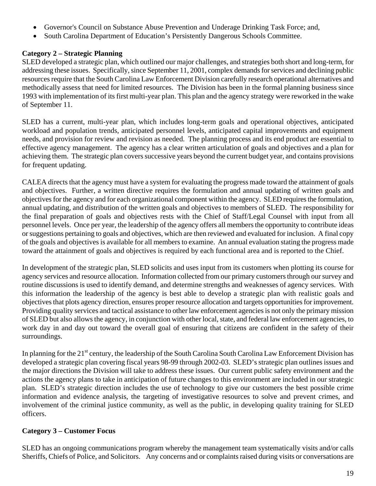- Governor's Council on Substance Abuse Prevention and Underage Drinking Task Force; and,
- South Carolina Department of Education's Persistently Dangerous Schools Committee.

# **Category 2 – Strategic Planning**

SLED developed a strategic plan, which outlined our major challenges, and strategies both short and long-term, for addressing these issues. Specifically, since September 11, 2001, complex demands for services and declining public resources require that the South Carolina Law Enforcement Division carefully research operational alternatives and methodically assess that need for limited resources. The Division has been in the formal planning business since 1993 with implementation of its first multi-year plan. This plan and the agency strategy were reworked in the wake of September 11.

SLED has a current, multi-year plan, which includes long-term goals and operational objectives, anticipated workload and population trends, anticipated personnel levels, anticipated capital improvements and equipment needs, and provision for review and revision as needed. The planning process and its end product are essential to effective agency management. The agency has a clear written articulation of goals and objectives and a plan for achieving them. The strategic plan covers successive years beyond the current budget year, and contains provisions for frequent updating.

CALEA directs that the agency must have a system for evaluating the progress made toward the attainment of goals and objectives. Further, a written directive requires the formulation and annual updating of written goals and objectives for the agency and for each organizational component within the agency. SLED requires the formulation, annual updating, and distribution of the written goals and objectives to members of SLED. The responsibility for the final preparation of goals and objectives rests with the Chief of Staff/Legal Counsel with input from all personnel levels. Once per year, the leadership of the agency offers all members the opportunity to contribute ideas or suggestions pertaining to goals and objectives, which are then reviewed and evaluated for inclusion. A final copy of the goals and objectives is available for all members to examine. An annual evaluation stating the progress made toward the attainment of goals and objectives is required by each functional area and is reported to the Chief.

In development of the strategic plan, SLED solicits and uses input from its customers when plotting its course for agency services and resource allocation. Information collected from our primary customers through our survey and routine discussions is used to identify demand, and determine strengths and weaknesses of agency services. With this information the leadership of the agency is best able to develop a strategic plan with realistic goals and objectives that plots agency direction, ensures proper resource allocation and targets opportunities for improvement. Providing quality services and tactical assistance to other law enforcement agencies is not only the primary mission of SLED but also allows the agency, in conjunction with other local, state, and federal law enforcement agencies, to work day in and day out toward the overall goal of ensuring that citizens are confident in the safety of their surroundings.

In planning for the 21<sup>st</sup> century, the leadership of the South Carolina South Carolina Law Enforcement Division has developed a strategic plan covering fiscal years 98-99 through 2002-03. SLED's strategic plan outlines issues and the major directions the Division will take to address these issues. Our current public safety environment and the actions the agency plans to take in anticipation of future changes to this environment are included in our strategic plan. SLED's strategic direction includes the use of technology to give our customers the best possible crime information and evidence analysis, the targeting of investigative resources to solve and prevent crimes, and involvement of the criminal justice community, as well as the public, in developing quality training for SLED officers.

## **Category 3 – Customer Focus**

SLED has an ongoing communications program whereby the management team systematically visits and/or calls Sheriffs, Chiefs of Police, and Solicitors. Any concerns and or complaints raised during visits or conversations are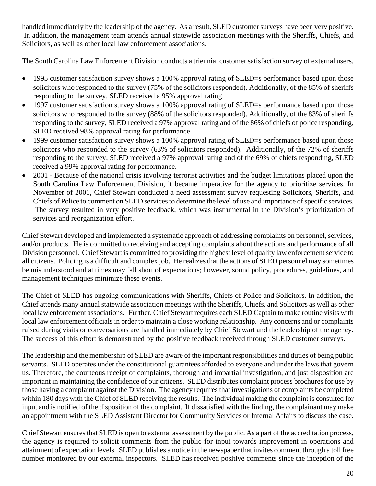handled immediately by the leadership of the agency. As a result, SLED customer surveys have been very positive. In addition, the management team attends annual statewide association meetings with the Sheriffs, Chiefs, and Solicitors, as well as other local law enforcement associations.

The South Carolina Law Enforcement Division conducts a triennial customer satisfaction survey of external users.

- 1995 customer satisfaction survey shows a 100% approval rating of SLED=s performance based upon those solicitors who responded to the survey (75% of the solicitors responded). Additionally, of the 85% of sheriffs responding to the survey, SLED received a 95% approval rating.
- 1997 customer satisfaction survey shows a 100% approval rating of SLED=s performance based upon those solicitors who responded to the survey (88% of the solicitors responded). Additionally, of the 83% of sheriffs responding to the survey, SLED received a 97% approval rating and of the 86% of chiefs of police responding, SLED received 98% approval rating for performance.
- 1999 customer satisfaction survey shows a 100% approval rating of SLED=s performance based upon those solicitors who responded to the survey (63% of solicitors responded). Additionally, of the 72% of sheriffs responding to the survey, SLED received a 97% approval rating and of the 69% of chiefs responding, SLED received a 99% approval rating for performance.
- 2001 Because of the national crisis involving terrorist activities and the budget limitations placed upon the South Carolina Law Enforcement Division, it became imperative for the agency to prioritize services. In November of 2001, Chief Stewart conducted a need assessment survey requesting Solicitors, Sheriffs, and Chiefs of Police to comment on SLED services to determine the level of use and importance of specific services. The survey resulted in very positive feedback, which was instrumental in the Division's prioritization of services and reorganization effort.

Chief Stewart developed and implemented a systematic approach of addressing complaints on personnel, services, and/or products. He is committed to receiving and accepting complaints about the actions and performance of all Division personnel. Chief Stewart is committed to providing the highest level of quality law enforcement service to all citizens. Policing is a difficult and complex job. He realizes that the actions of SLED personnel may sometimes be misunderstood and at times may fall short of expectations; however, sound policy, procedures, guidelines, and management techniques minimize these events.

The Chief of SLED has ongoing communications with Sheriffs, Chiefs of Police and Solicitors. In addition, the Chief attends many annual statewide association meetings with the Sheriffs, Chiefs, and Solicitors as well as other local law enforcement associations. Further, Chief Stewart requires each SLED Captain to make routine visits with local law enforcement officials in order to maintain a close working relationship. Any concerns and or complaints raised during visits or conversations are handled immediately by Chief Stewart and the leadership of the agency. The success of this effort is demonstrated by the positive feedback received through SLED customer surveys.

The leadership and the membership of SLED are aware of the important responsibilities and duties of being public servants. SLED operates under the constitutional guarantees afforded to everyone and under the laws that govern us. Therefore, the courteous receipt of complaints, thorough and impartial investigation, and just disposition are important in maintaining the confidence of our citizens. SLED distributes complaint process brochures for use by those having a complaint against the Division. The agency requires that investigations of complaints be completed within 180 days with the Chief of SLED receiving the results. The individual making the complaint is consulted for input and is notified of the disposition of the complaint. If dissatisfied with the finding, the complainant may make an appointment with the SLED Assistant Director for Community Services or Internal Affairs to discuss the case.

Chief Stewart ensures that SLED is open to external assessment by the public. As a part of the accreditation process, the agency is required to solicit comments from the public for input towards improvement in operations and attainment of expectation levels. SLED publishes a notice in the newspaper that invites comment through a toll free number monitored by our external inspectors. SLED has received positive comments since the inception of the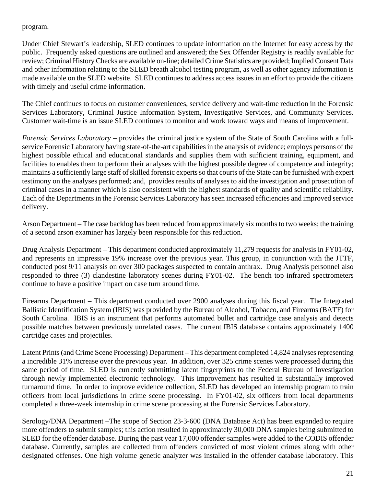#### program.

Under Chief Stewart's leadership, SLED continues to update information on the Internet for easy access by the public. Frequently asked questions are outlined and answered; the Sex Offender Registry is readily available for review; Criminal History Checks are available on-line; detailed Crime Statistics are provided; Implied Consent Data and other information relating to the SLED breath alcohol testing program, as well as other agency information is made available on the SLED website. SLED continues to address access issues in an effort to provide the citizens with timely and useful crime information.

The Chief continues to focus on customer conveniences, service delivery and wait-time reduction in the Forensic Services Laboratory, Criminal Justice Information System, Investigative Services, and Community Services. Customer wait-time is an issue SLED continues to monitor and work toward ways and means of improvement.

*Forensic Services Laboratory* – provides the criminal justice system of the State of South Carolina with a fullservice Forensic Laboratory having state-of-the-art capabilities in the analysis of evidence; employs persons of the highest possible ethical and educational standards and supplies them with sufficient training, equipment, and facilities to enables them to perform their analyses with the highest possible degree of competence and integrity; maintains a sufficiently large staff of skilled forensic experts so that courts of the State can be furnished with expert testimony on the analyses performed; and, provides results of analyses to aid the investigation and prosecution of criminal cases in a manner which is also consistent with the highest standards of quality and scientific reliability. Each of the Departments in the Forensic Services Laboratory has seen increased efficiencies and improved service delivery.

Arson Department – The case backlog has been reduced from approximately six months to two weeks; the training of a second arson examiner has largely been responsible for this reduction.

Drug Analysis Department – This department conducted approximately 11,279 requests for analysis in FY01-02, and represents an impressive 19% increase over the previous year. This group, in conjunction with the JTTF, conducted post 9/11 analysis on over 300 packages suspected to contain anthrax. Drug Analysis personnel also responded to three (3) clandestine laboratory scenes during FY01-02. The bench top infrared spectrometers continue to have a positive impact on case turn around time.

Firearms Department – This department conducted over 2900 analyses during this fiscal year. The Integrated Ballistic Identification System (IBIS) was provided by the Bureau of Alcohol, Tobacco, and Firearms (BATF) for South Carolina. IBIS is an instrument that performs automated bullet and cartridge case analysis and detects possible matches between previously unrelated cases. The current IBIS database contains approximately 1400 cartridge cases and projectiles.

Latent Prints (and Crime Scene Processing) Department – This department completed 14,824 analyses representing a incredible 31% increase over the previous year. In addition, over 325 crime scenes were processed during this same period of time. SLED is currently submitting latent fingerprints to the Federal Bureau of Investigation through newly implemented electronic technology. This improvement has resulted in substantially improved turnaround time. In order to improve evidence collection, SLED has developed an internship program to train officers from local jurisdictions in crime scene processing. In FY01-02, six officers from local departments completed a three-week internship in crime scene processing at the Forensic Services Laboratory.

Serology/DNA Department –The scope of Section 23-3-600 (DNA Database Act) has been expanded to require more offenders to submit samples; this action resulted in approximately 30,000 DNA samples being submitted to SLED for the offender database. During the past year 17,000 offender samples were added to the CODIS offender database. Currently, samples are collected from offenders convicted of most violent crimes along with other designated offenses. One high volume genetic analyzer was installed in the offender database laboratory. This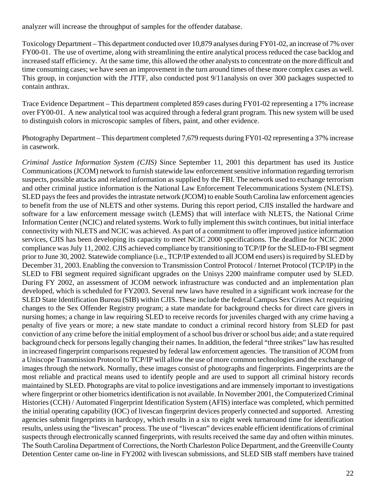analyzer will increase the throughput of samples for the offender database.

Toxicology Department – This department conducted over 10,879 analyses during FY01-02, an increase of 7% over FY00-01. The use of overtime, along with streamlining the entire analytical process reduced the case backlog and increased staff efficiency. At the same time, this allowed the other analysts to concentrate on the more difficult and time consuming cases; we have seen an improvement in the turn around times of these more complex cases as well. This group, in conjunction with the JTTF, also conducted post 9/11analysis on over 300 packages suspected to contain anthrax.

Trace Evidence Department – This department completed 859 cases during FY01-02 representing a 17% increase over FY00-01. A new analytical tool was acquired through a federal grant program. This new system will be used to distinguish colors in microscopic samples of fibers, paint, and other evidence.

Photography Department – This department completed 7,679 requests during FY01-02 representing a 37% increase in casework.

*Criminal Justice Information System (CJIS)* Since September 11, 2001 this department has used its Justice Communications (JCOM) network to furnish statewide law enforcement sensitive information regarding terrorism suspects, possible attacks and related information as supplied by the FBI. The network used to exchange terrorism and other criminal justice information is the National Law Enforcement Telecommunications System (NLETS). SLED pays the fees and provides the intrastate network (JCOM) to enable South Carolina law enforcement agencies to benefit from the use of NLETS and other systems. During this report period, CJIS installed the hardware and software for a law enforcement message switch (LEMS) that will interface with NLETS, the National Crime Information Center (NCIC) and related systems. Work to fully implement this switch continues, but initial interface connectivity with NLETS and NCIC was achieved. As part of a commitment to offer improved justice information services, CJIS has been developing its capacity to meet NCIC 2000 specifications. The deadline for NCIC 2000 compliance was July 11, 2002. CJIS achieved compliance by transitioning to TCP/IP for the SLED-to-FBI segment prior to June 30, 2002. Statewide compliance (i.e., TCP/IP extended to all JCOM end users) is required by SLED by December 31, 2003. Enabling the conversion to Transmission Control Protocol / Internet Protocol (TCP/IP) in the SLED to FBI segment required significant upgrades on the Unisys 2200 mainframe computer used by SLED. During FY 2002, an assessment of JCOM network infrastructure was conducted and an implementation plan developed, which is scheduled for FY2003. Several new laws have resulted in a significant work increase for the SLED State Identification Bureau (SIB) within CJIS. These include the federal Campus Sex Crimes Act requiring changes to the Sex Offender Registry program; a state mandate for background checks for direct care givers in nursing homes; a change in law requiring SLED to receive records for juveniles charged with any crime having a penalty of five years or more; a new state mandate to conduct a criminal record history from SLED for past conviction of any crime before the initial employment of a school bus driver or school bus aide; and a state required background check for persons legally changing their names. In addition, the federal "three strikes" law has resulted in increased fingerprint comparisons requested by federal law enforcement agencies. The transition of JCOM from a Uniscope Transmission Protocol to TCP/IP will allow the use of more common technologies and the exchange of images through the network. Normally, these images consist of photographs and fingerprints. Fingerprints are the most reliable and practical means used to identify people and are used to support all criminal history records maintained by SLED. Photographs are vital to police investigations and are immensely important to investigations where fingerprint or other biometrics identification is not available. In November 2001, the Computerized Criminal Histories (CCH) / Automated Fingerprint Identification System (AFIS) interface was completed, which permitted the initial operating capability (IOC) of livescan fingerprint devices properly connected and supported. Arresting agencies submit fingerprints in hardcopy, which results in a six to eight week turnaround time for identification results, unless using the "livescan" process. The use of "livescan" devices enable efficient identifications of criminal suspects through electronically scanned fingerprints, with results received the same day and often within minutes. The South Carolina Department of Corrections, the North Charleston Police Department, and the Greenville County Detention Center came on-line in FY2002 with livescan submissions, and SLED SIB staff members have trained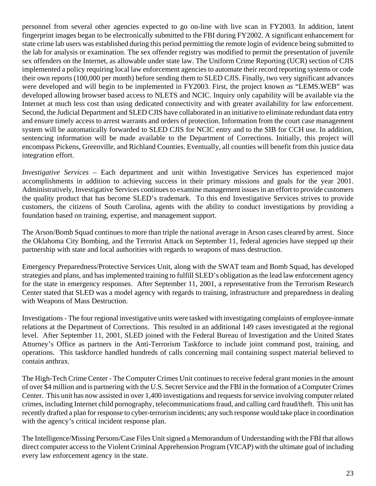personnel from several other agencies expected to go on-line with live scan in FY2003. In addition, latent fingerprint images began to be electronically submitted to the FBI during FY2002. A significant enhancement for state crime lab users was established during this period permitting the remote login of evidence being submitted to the lab for analysis or examination. The sex offender registry was modified to permit the presentation of juvenile sex offenders on the Internet, as allowable under state law. The Uniform Crime Reporting (UCR) section of CJIS implemented a policy requiring local law enforcement agencies to automate their record reporting systems or code their own reports (100,000 per month) before sending them to SLED CJIS. Finally, two very significant advances were developed and will begin to be implemented in FY2003. First, the project known as "LEMS.WEB" was developed allowing browser based access to NLETS and NCIC. Inquiry only capability will be available via the Internet at much less cost than using dedicated connectivity and with greater availability for law enforcement. Second, the Judicial Department and SLED CJIS have collaborated in an initiative to eliminate redundant data entry and ensure timely access to arrest warrants and orders of protection. Information from the court case management system will be automatically forwarded to SLED CJIS for NCIC entry and to the SIB for CCH use. In addition, sentencing information will be made available to the Department of Corrections. Initially, this project will encompass Pickens, Greenville, and Richland Counties. Eventually, all counties will benefit from this justice data integration effort.

*Investigative Services* – Each department and unit within Investigative Services has experienced major accomplishments in addition to achieving success in their primary missions and goals for the year 2001. Administratively, Investigative Services continues to examine management issues in an effort to provide customers the quality product that has become SLED's trademark. To this end Investigative Services strives to provide customers, the citizens of South Carolina, agents with the ability to conduct investigations by providing a foundation based on training, expertise, and management support.

The Arson/Bomb Squad continues to more than triple the national average in Arson cases cleared by arrest. Since the Oklahoma City Bombing, and the Terrorist Attack on September 11, federal agencies have stepped up their partnership with state and local authorities with regards to weapons of mass destruction.

Emergency Preparedness/Protective Services Unit, along with the SWAT team and Bomb Squad, has developed strategies and plans, and has implemented training to fulfill SLED's obligation as the lead law enforcement agency for the state in emergency responses. After September 11, 2001, a representative from the Terrorism Research Center stated that SLED was a model agency with regards to training, infrastructure and preparedness in dealing with Weapons of Mass Destruction.

Investigations *-* The four regional investigative units were tasked with investigating complaints of employee-inmate relations at the Department of Corrections. This resulted in an additional 149 cases investigated at the regional level. After September 11, 2001, SLED joined with the Federal Bureau of Investigation and the United States Attorney's Office as partners in the Anti-Terrorism Taskforce to include joint command post, training, and operations. This taskforce handled hundreds of calls concerning mail containing suspect material believed to contain anthrax.

The High-Tech Crime Center - The Computer Crimes Unit continues to receive federal grant monies in the amount of over \$4 million and is partnering with the U.S. Secret Service and the FBI in the formation of a Computer Crimes Center. This unit has now assisted in over 1,400 investigations and requests for service involving computer related crimes, including Internet child pornography, telecommunications fraud, and calling card fraud/theft. This unit has recently drafted a plan for response to cyber-terrorism incidents; any such response would take place in coordination with the agency's critical incident response plan.

The Intelligence/Missing Persons/Case Files Unit signed a Memorandum of Understanding with the FBI that allows direct computer access to the Violent Criminal Apprehension Program (VICAP) with the ultimate goal of including every law enforcement agency in the state.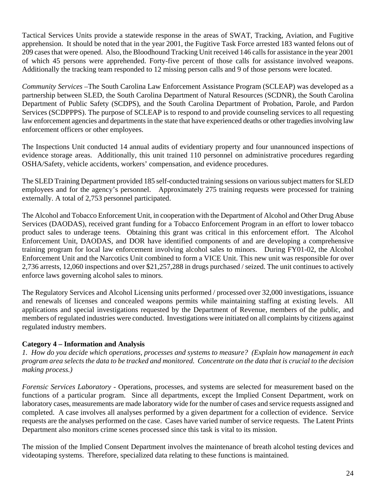Tactical Services Units provide a statewide response in the areas of SWAT, Tracking, Aviation, and Fugitive apprehension. It should be noted that in the year 2001, the Fugitive Task Force arrested 183 wanted felons out of 209 cases that were opened. Also, the Bloodhound Tracking Unit received 146 calls for assistance in the year 2001 of which 45 persons were apprehended. Forty-five percent of those calls for assistance involved weapons. Additionally the tracking team responded to 12 missing person calls and 9 of those persons were located.

*Community Services –*The South Carolina Law Enforcement Assistance Program (SCLEAP) was developed as a partnership between SLED, the South Carolina Department of Natural Resources (SCDNR), the South Carolina Department of Public Safety (SCDPS), and the South Carolina Department of Probation, Parole, and Pardon Services (SCDPPPS). The purpose of SCLEAP is to respond to and provide counseling services to all requesting law enforcement agencies and departments in the state that have experienced deaths or other tragedies involving law enforcement officers or other employees.

The Inspections Unit conducted 14 annual audits of evidentiary property and four unannounced inspections of evidence storage areas. Additionally, this unit trained 110 personnel on administrative procedures regarding OSHA/Safety, vehicle accidents, workers' compensation, and evidence procedures.

The SLED Training Department provided 185 self-conducted training sessions on various subject matters for SLED employees and for the agency's personnel. Approximately 275 training requests were processed for training externally. A total of 2,753 personnel participated.

The Alcohol and Tobacco Enforcement Unit, in cooperation with the Department of Alcohol and Other Drug Abuse Services (DAODAS), received grant funding for a Tobacco Enforcement Program in an effort to lower tobacco product sales to underage teens. Obtaining this grant was critical in this enforcement effort. The Alcohol Enforcement Unit, DAODAS, and DOR have identified components of and are developing a comprehensive training program for local law enforcement involving alcohol sales to minors. During FY01-02, the Alcohol Enforcement Unit and the Narcotics Unit combined to form a VICE Unit. This new unit was responsible for over 2,736 arrests, 12,060 inspections and over \$21,257,288 in drugs purchased / seized. The unit continues to actively enforce laws governing alcohol sales to minors.

The Regulatory Services and Alcohol Licensing units performed / processed over 32,000 investigations, issuance and renewals of licenses and concealed weapons permits while maintaining staffing at existing levels. All applications and special investigations requested by the Department of Revenue, members of the public, and members of regulated industries were conducted. Investigations were initiated on all complaints by citizens against regulated industry members.

## **Category 4 – Information and Analysis**

*1. How do you decide which operations, processes and systems to measure? (Explain how management in each program area selects the data to be tracked and monitored. Concentrate on the data that is crucial to the decision making process.)*

*Forensic Services Laboratory -* Operations, processes, and systems are selected for measurement based on the functions of a particular program. Since all departments, except the Implied Consent Department, work on laboratory cases, measurements are made laboratory wide for the number of cases and service requests assigned and completed. A case involves all analyses performed by a given department for a collection of evidence. Service requests are the analyses performed on the case. Cases have varied number of service requests. The Latent Prints Department also monitors crime scenes processed since this task is vital to its mission.

The mission of the Implied Consent Department involves the maintenance of breath alcohol testing devices and videotaping systems. Therefore, specialized data relating to these functions is maintained.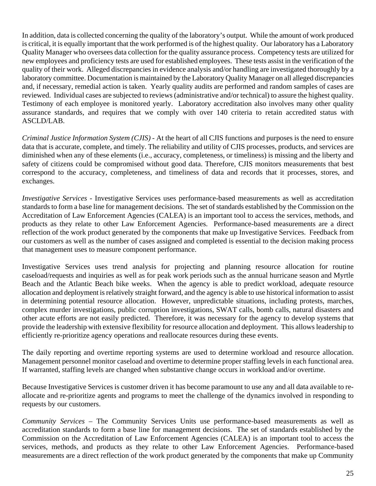In addition, data is collected concerning the quality of the laboratory's output. While the amount of work produced is critical, it is equally important that the work performed is of the highest quality. Our laboratory has a Laboratory Quality Manager who oversees data collection for the quality assurance process. Competency tests are utilized for new employees and proficiency tests are used for established employees. These tests assist in the verification of the quality of their work. Alleged discrepancies in evidence analysis and/or handling are investigated thoroughly by a laboratory committee. Documentation is maintained by the Laboratory Quality Manager on all alleged discrepancies and, if necessary, remedial action is taken. Yearly quality audits are performed and random samples of cases are reviewed. Individual cases are subjected to reviews (administrative and/or technical) to assure the highest quality. Testimony of each employee is monitored yearly. Laboratory accreditation also involves many other quality assurance standards, and requires that we comply with over 140 criteria to retain accredited status with ASCLD/LAB.

*Criminal Justice Information System (CJIS) -* At the heart of all CJIS functions and purposes is the need to ensure data that is accurate, complete, and timely. The reliability and utility of CJIS processes, products, and services are diminished when any of these elements (i.e., accuracy, completeness, or timeliness) is missing and the liberty and safety of citizens could be compromised without good data. Therefore, CJIS monitors measurements that best correspond to the accuracy, completeness, and timeliness of data and records that it processes, stores, and exchanges.

*Investigative Services* - Investigative Services uses performance-based measurements as well as accreditation standards to form a base line for management decisions. The set of standards established by the Commission on the Accreditation of Law Enforcement Agencies (CALEA) is an important tool to access the services, methods, and products as they relate to other Law Enforcement Agencies. Performance-based measurements are a direct reflection of the work product generated by the components that make up Investigative Services. Feedback from our customers as well as the number of cases assigned and completed is essential to the decision making process that management uses to measure component performance.

Investigative Services uses trend analysis for projecting and planning resource allocation for routine caseload/requests and inquiries as well as for peak work periods such as the annual hurricane season and Myrtle Beach and the Atlantic Beach bike weeks. When the agency is able to predict workload, adequate resource allocation and deployment is relatively straight forward, and the agency is able to use historical information to assist in determining potential resource allocation. However, unpredictable situations, including protests, marches, complex murder investigations, public corruption investigations, SWAT calls, bomb calls, natural disasters and other acute efforts are not easily predicted. Therefore, it was necessary for the agency to develop systems that provide the leadership with extensive flexibility for resource allocation and deployment. This allows leadership to efficiently re-prioritize agency operations and reallocate resources during these events.

The daily reporting and overtime reporting systems are used to determine workload and resource allocation. Management personnel monitor caseload and overtime to determine proper staffing levels in each functional area. If warranted, staffing levels are changed when substantive change occurs in workload and/or overtime.

Because Investigative Services is customer driven it has become paramount to use any and all data available to reallocate and re-prioritize agents and programs to meet the challenge of the dynamics involved in responding to requests by our customers.

*Community Services –* The Community Services Units use performance-based measurements as well as accreditation standards to form a base line for management decisions. The set of standards established by the Commission on the Accreditation of Law Enforcement Agencies (CALEA) is an important tool to access the services, methods, and products as they relate to other Law Enforcement Agencies. Performance-based measurements are a direct reflection of the work product generated by the components that make up Community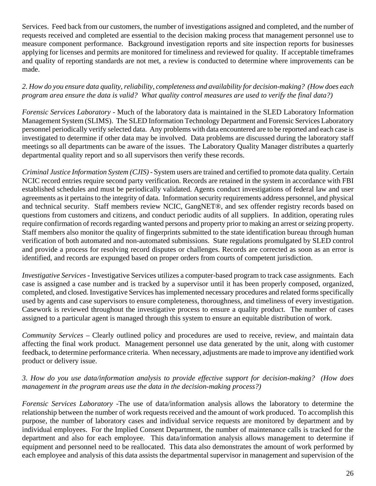Services. Feed back from our customers, the number of investigations assigned and completed, and the number of requests received and completed are essential to the decision making process that management personnel use to measure component performance. Background investigation reports and site inspection reports for businesses applying for licenses and permits are monitored for timeliness and reviewed for quality. If acceptable timeframes and quality of reporting standards are not met, a review is conducted to determine where improvements can be made.

*2. How do you ensure data quality, reliability, completeness and availability for decision-making? (How does each program area ensure the data is valid? What quality control measures are used to verify the final data?)*

*Forensic Services Laboratory -* Much of the laboratory data is maintained in the SLED Laboratory Information Management System (SLIMS). The SLED Information Technology Department and Forensic Services Laboratory personnel periodically verify selected data. Any problems with data encountered are to be reported and each case is investigated to determine if other data may be involved. Data problems are discussed during the laboratory staff meetings so all departments can be aware of the issues. The Laboratory Quality Manager distributes a quarterly departmental quality report and so all supervisors then verify these records.

*Criminal Justice Information System (CJIS) -* System users are trained and certified to promote data quality. Certain NCIC record entries require second party verification. Records are retained in the system in accordance with FBI established schedules and must be periodically validated. Agents conduct investigations of federal law and user agreements as it pertains to the integrity of data. Information security requirements address personnel, and physical and technical security. Staff members review NCIC, GangNET®, and sex offender registry records based on questions from customers and citizens, and conduct periodic audits of all suppliers. In addition, operating rules require confirmation of records regarding wanted persons and property prior to making an arrest or seizing property. Staff members also monitor the quality of fingerprints submitted to the state identification bureau through human verification of both automated and non-automated submissions. State regulations promulgated by SLED control and provide a process for resolving record disputes or challenges. Records are corrected as soon as an error is identified, and records are expunged based on proper orders from courts of competent jurisdiction.

*Investigative Services* **-** Investigative Services utilizes a computer-based program to track case assignments. Each case is assigned a case number and is tracked by a supervisor until it has been properly composed, organized, completed, and closed. Investigative Services has implemented necessary procedures and related forms specifically used by agents and case supervisors to ensure completeness, thoroughness, and timeliness of every investigation. Casework is reviewed throughout the investigative process to ensure a quality product. The number of cases assigned to a particular agent is managed through this system to ensure an equitable distribution of work.

*Community Services –* Clearly outlined policy and procedures are used to receive, review, and maintain data affecting the final work product. Management personnel use data generated by the unit, along with customer feedback, to determine performance criteria. When necessary, adjustments are made to improve any identified work product or delivery issue.

#### *3. How do you use data/information analysis to provide effective support for decision-making? (How does management in the program areas use the data in the decision-making process?)*

*Forensic Services Laboratory -*The use of data/information analysis allows the laboratory to determine the relationship between the number of work requests received and the amount of work produced. To accomplish this purpose, the number of laboratory cases and individual service requests are monitored by department and by individual employees. For the Implied Consent Department, the number of maintenance calls is tracked for the department and also for each employee. This data/information analysis allows management to determine if equipment and personnel need to be reallocated. This data also demonstrates the amount of work performed by each employee and analysis of this data assists the departmental supervisor in management and supervision of the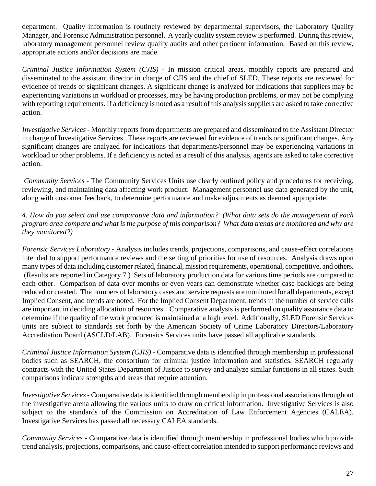department. Quality information is routinely reviewed by departmental supervisors, the Laboratory Quality Manager, and Forensic Administration personnel. A yearly quality system review is performed. During this review, laboratory management personnel review quality audits and other pertinent information. Based on this review, appropriate actions and/or decisions are made.

*Criminal Justice Information System (CJIS) -* In mission critical areas, monthly reports are prepared and disseminated to the assistant director in charge of CJIS and the chief of SLED. These reports are reviewed for evidence of trends or significant changes. A significant change is analyzed for indications that suppliers may be experiencing variations in workload or processes, may be having production problems, or may not be complying with reporting requirements. If a deficiency is noted as a result of this analysis suppliers are asked to take corrective action.

*Investigative Services* - Monthly reports from departments are prepared and disseminated to the Assistant Director in charge of Investigative Services. These reports are reviewed for evidence of trends or significant changes. Any significant changes are analyzed for indications that departments/personnel may be experiencing variations in workload or other problems. If a deficiency is noted as a result of this analysis, agents are asked to take corrective action.

*Community Services -* The Community Services Units use clearly outlined policy and procedures for receiving, reviewing, and maintaining data affecting work product. Management personnel use data generated by the unit, along with customer feedback, to determine performance and make adjustments as deemed appropriate.

#### *4. How do you select and use comparative data and information? (What data sets do the management of each program area compare and what is the purpose of this comparison? What data trends are monitored and why are they monitored?)*

*Forensic Services Laboratory -* Analysis includes trends, projections, comparisons, and cause-effect correlations intended to support performance reviews and the setting of priorities for use of resources. Analysis draws upon many types of data including customer related, financial, mission requirements, operational, competitive, and others. (Results are reported in Category 7.) Sets of laboratory production data for various time periods are compared to each other. Comparison of data over months or even years can demonstrate whether case backlogs are being reduced or created. The numbers of laboratory cases and service requests are monitored for all departments, except Implied Consent, and trends are noted. For the Implied Consent Department, trends in the number of service calls are important in deciding allocation of resources. Comparative analysis is performed on quality assurance data to determine if the quality of the work produced is maintained at a high level. Additionally, SLED Forensic Services units are subject to standards set forth by the American Society of Crime Laboratory Directors/Laboratory Accreditation Board (ASCLD/LAB). Forensics Services units have passed all applicable standards.

*Criminal Justice Information System (CJIS) -* Comparative data is identified through membership in professional bodies such as SEARCH, the consortium for criminal justice information and statistics. SEARCH regularly contracts with the United States Department of Justice to survey and analyze similar functions in all states. Such comparisons indicate strengths and areas that require attention.

*Investigative Services* - Comparative data is identified through membership in professional associations throughout the investigative arena allowing the various units to draw on critical information. Investigative Services is also subject to the standards of the Commission on Accreditation of Law Enforcement Agencies (CALEA). Investigative Services has passed all necessary CALEA standards.

*Community Services -* Comparative data is identified through membership in professional bodies which provide trend analysis, projections, comparisons, and cause-effect correlation intended to support performance reviews and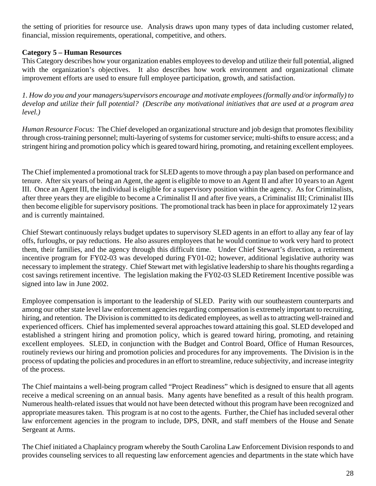the setting of priorities for resource use. Analysis draws upon many types of data including customer related, financial, mission requirements, operational, competitive, and others.

## **Category 5 – Human Resources**

This Category describes how your organization enables employees to develop and utilize their full potential, aligned with the organization's objectives. It also describes how work environment and organizational climate improvement efforts are used to ensure full employee participation, growth, and satisfaction.

*1. How do you and your managers/supervisors encourage and motivate employees (formally and/or informally) to develop and utilize their full potential? (Describe any motivational initiatives that are used at a program area level.)*

*Human Resource Focus:* The Chief developed an organizational structure and job design that promotes flexibility through cross-training personnel; multi-layering of systems for customer service; multi-shifts to ensure access; and a stringent hiring and promotion policy which is geared toward hiring, promoting, and retaining excellent employees.

The Chief implemented a promotional track for SLED agents to move through a pay plan based on performance and tenure. After six years of being an Agent, the agent is eligible to move to an Agent II and after 10 years to an Agent III. Once an Agent III, the individual is eligible for a supervisory position within the agency. As for Criminalists, after three years they are eligible to become a Criminalist II and after five years, a Criminalist III; Criminalist IIIs then become eligible for supervisory positions. The promotional track has been in place for approximately 12 years and is currently maintained.

Chief Stewart continuously relays budget updates to supervisory SLED agents in an effort to allay any fear of lay offs, furloughs, or pay reductions. He also assures employees that he would continue to work very hard to protect them, their families, and the agency through this difficult time. Under Chief Stewart's direction, a retirement incentive program for FY02-03 was developed during FY01-02; however, additional legislative authority was necessary to implement the strategy. Chief Stewart met with legislative leadership to share his thoughts regarding a cost savings retirement incentive. The legislation making the FY02-03 SLED Retirement Incentive possible was signed into law in June 2002.

Employee compensation is important to the leadership of SLED. Parity with our southeastern counterparts and among our other state level law enforcement agencies regarding compensation is extremely important to recruiting, hiring, and retention. The Division is committed to its dedicated employees, as well as to attracting well-trained and experienced officers. Chief has implemented several approaches toward attaining this goal. SLED developed and established a stringent hiring and promotion policy, which is geared toward hiring, promoting, and retaining excellent employees. SLED, in conjunction with the Budget and Control Board, Office of Human Resources, routinely reviews our hiring and promotion policies and procedures for any improvements. The Division is in the process of updating the policies and procedures in an effort to streamline, reduce subjectivity, and increase integrity of the process.

The Chief maintains a well-being program called "Project Readiness" which is designed to ensure that all agents receive a medical screening on an annual basis. Many agents have benefited as a result of this health program. Numerous health-related issues that would not have been detected without this program have been recognized and appropriate measures taken. This program is at no cost to the agents. Further, the Chief has included several other law enforcement agencies in the program to include, DPS, DNR, and staff members of the House and Senate Sergeant at Arms.

The Chief initiated a Chaplaincy program whereby the South Carolina Law Enforcement Division responds to and provides counseling services to all requesting law enforcement agencies and departments in the state which have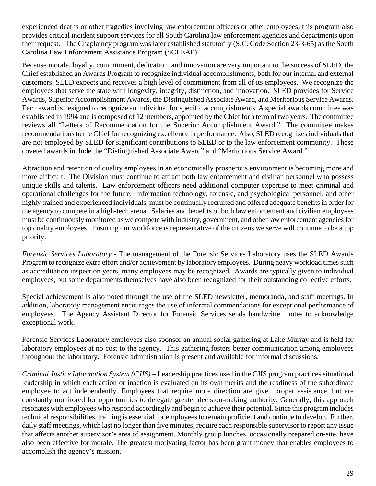experienced deaths or other tragedies involving law enforcement officers or other employees; this program also provides critical incident support services for all South Carolina law enforcement agencies and departments upon their request. The Chaplaincy program was later established statutorily (S.C. Code Section 23-3-65) as the South Carolina Law Enforcement Assistance Program (SCLEAP).

Because morale, loyalty, commitment, dedication, and innovation are very important to the success of SLED, the Chief established an Awards Program to recognize individual accomplishments, both for our internal and external customers. SLED expects and receives a high level of commitment from all of its employees. We recognize the employees that serve the state with longevity, integrity, distinction, and innovation. SLED provides for Service Awards, Superior Accomplishment Awards, the Distinguished Associate Award, and Meritorious Service Awards. Each award is designed to recognize an individual for specific accomplishments. A special awards committee was established in 1994 and is composed of 12 members, appointed by the Chief for a term of two years. The committee reviews all "Letters of Recommendation for the Superior Accomplishment Award." The committee makes recommendations to the Chief for recognizing excellence in performance. Also, SLED recognizes individuals that are not employed by SLED for significant contributions to SLED or to the law enforcement community. These coveted awards include the "Distinguished Associate Award" and "Meritorious Service Award."

Attraction and retention of quality employees in an economically prosperous environment is becoming more and more difficult. The Division must continue to attract both law enforcement and civilian personnel who possess unique skills and talents. Law enforcement officers need additional computer expertise to meet criminal and operational challenges for the future. Information technology, forensic, and psychological personnel, and other highly trained and experienced individuals, must be continually recruited and offered adequate benefits in order for the agency to compete in a high-tech arena. Salaries and benefits of both law enforcement and civilian employees must be continuously monitored as we compete with industry, government, and other law enforcement agencies for top quality employees. Ensuring our workforce is representative of the citizens we serve will continue to be a top priority.

*Forensic Services Laboratory -* The management of the Forensic Services Laboratory uses the SLED Awards Program to recognize extra effort and/or achievement by laboratory employees. During heavy workload times such as accreditation inspection years, many employees may be recognized. Awards are typically given to individual employees, but some departments themselves have also been recognized for their outstanding collective efforts.

Special achievement is also noted through the use of the SLED newsletter, memoranda, and staff meetings. In addition, laboratory management encourages the use of informal commendations for exceptional performance of employees. The Agency Assistant Director for Forensic Services sends handwritten notes to acknowledge exceptional work.

Forensic Services Laboratory employees also sponsor an annual social gathering at Lake Murray and is held for laboratory employees at no cost to the agency. This gathering fosters better communication among employees throughout the laboratory. Forensic administration is present and available for informal discussions.

*Criminal Justice Information System (CJIS) –* Leadership practices used in the CJIS program practices situational leadership in which each action or inaction is evaluated on its own merits and the readiness of the subordinate employee to act independently. Employees that require more direction are given proper assistance, but are constantly monitored for opportunities to delegate greater decision-making authority. Generally, this approach resonates with employees who respond accordingly and begin to achieve their potential. Since this program includes technical responsibilities, training is essential for employees to remain proficient and continue to develop. Further, daily staff meetings, which last no longer than five minutes, require each responsible supervisor to report any issue that affects another supervisor's area of assignment. Monthly group lunches, occasionally prepared on-site, have also been effective for morale. The greatest motivating factor has been grant money that enables employees to accomplish the agency's mission.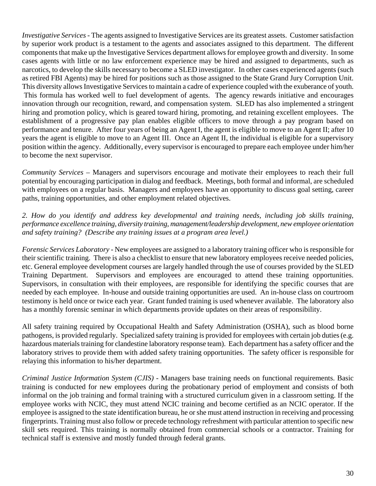*Investigative Services* - The agents assigned to Investigative Services are its greatest assets. Customer satisfaction by superior work product is a testament to the agents and associates assigned to this department. The different components that make up the Investigative Services department allows for employee growth and diversity. In some cases agents with little or no law enforcement experience may be hired and assigned to departments, such as narcotics, to develop the skills necessary to become a SLED investigator. In other cases experienced agents (such as retired FBI Agents) may be hired for positions such as those assigned to the State Grand Jury Corruption Unit. This diversity allows Investigative Services to maintain a cadre of experience coupled with the exuberance of youth. This formula has worked well to fuel development of agents. The agency rewards initiative and encourages innovation through our recognition, reward, and compensation system. SLED has also implemented a stringent hiring and promotion policy, which is geared toward hiring, promoting, and retaining excellent employees. The establishment of a progressive pay plan enables eligible officers to move through a pay program based on performance and tenure. After four years of being an Agent I, the agent is eligible to move to an Agent II; after 10 years the agent is eligible to move to an Agent III. Once an Agent II, the individual is eligible for a supervisory position within the agency. Additionally, every supervisor is encouraged to prepare each employee under him/her to become the next supervisor.

*Community Services* – Managers and supervisors encourage and motivate their employees to reach their full potential by encouraging participation in dialog and feedback. Meetings, both formal and informal, are scheduled with employees on a regular basis. Managers and employees have an opportunity to discuss goal setting, career paths, training opportunities, and other employment related objectives.

## *2. How do you identify and address key developmental and training needs, including job skills training, performance excellence training, diversity training, management/leadership development, new employee orientation and safety training? (Describe any training issues at a program area level.)*

*Forensic Services Laboratory -* New employees are assigned to a laboratory training officer who is responsible for their scientific training. There is also a checklist to ensure that new laboratory employees receive needed policies, etc. General employee development courses are largely handled through the use of courses provided by the SLED Training Department. Supervisors and employees are encouraged to attend these training opportunities. Supervisors, in consultation with their employees, are responsible for identifying the specific courses that are needed by each employee. In-house and outside training opportunities are used. An in-house class on courtroom testimony is held once or twice each year. Grant funded training is used whenever available. The laboratory also has a monthly forensic seminar in which departments provide updates on their areas of responsibility.

All safety training required by Occupational Health and Safety Administration (OSHA), such as blood borne pathogens, is provided regularly. Specialized safety training is provided for employees with certain job duties (e.g. hazardous materials training for clandestine laboratory response team). Each department has a safety officer and the laboratory strives to provide them with added safety training opportunities. The safety officer is responsible for relaying this information to his/her department.

*Criminal Justice Information System (CJIS) -* Managers base training needs on functional requirements. Basic training is conducted for new employees during the probationary period of employment and consists of both informal on the job training and formal training with a structured curriculum given in a classroom setting. If the employee works with NCIC, they must attend NCIC training and become certified as an NCIC operator. If the employee is assigned to the state identification bureau, he or she must attend instruction in receiving and processing fingerprints. Training must also follow or precede technology refreshment with particular attention to specific new skill sets required. This training is normally obtained from commercial schools or a contractor. Training for technical staff is extensive and mostly funded through federal grants.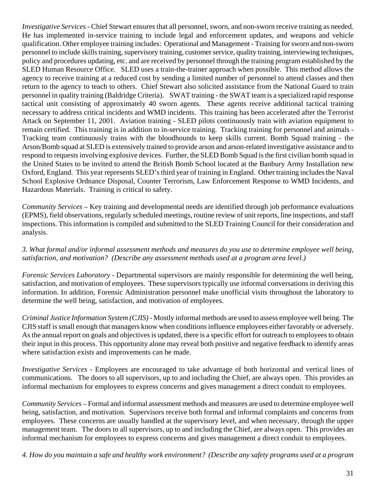*Investigative Services* - Chief Stewart ensures that all personnel, sworn, and non-sworn receive training as needed. He has implemented in-service training to include legal and enforcement updates, and weapons and vehicle qualification. Other employee training includes: Operational and Management - Training for sworn and non-sworn personnel to include skills training, supervisory training, customer service, quality training, interviewing techniques, policy and procedures updating, etc. and are received by personnel through the training program established by the SLED Human Resource Office. SLED uses a train-the-trainer approach when possible. This method allows the agency to receive training at a reduced cost by sending a limited number of personnel to attend classes and then return to the agency to teach to others. Chief Stewart also solicited assistance from the National Guard to train personnel in quality training (Baldridge Criteria). SWAT training - the SWAT team is a specialized rapid response tactical unit consisting of approximately 40 sworn agents. These agents receive additional tactical training necessary to address critical incidents and WMD incidents. This training has been accelerated after the Terrorist Attack on September 11, 2001. Aviation training - SLED pilots continuously train with aviation equipment to remain certified. This training is in addition to in-service training. Tracking training for personnel and animals - Tracking team continuously trains with the bloodhounds to keep skills current. Bomb Squad training - the Arson/Bomb squad at SLED is extensively trained to provide arson and arson-related investigative assistance and to respond to requests involving explosive devices. Further, the SLED Bomb Squad is the first civilian bomb squad in the United States to be invited to attend the British Bomb School located at the Banbury Army Installation new Oxford, England. This year represents SLED's third year of training in England. Other training includes the Naval School Explosive Ordnance Disposal, Counter Terrorism, Law Enforcement Response to WMD Incidents, and Hazardous Materials. Training is critical to safety.

*Community Services –* Key training and developmental needs are identified through job performance evaluations (EPMS), field observations, regularly scheduled meetings, routine review of unit reports, line inspections, and staff inspections. This information is compiled and submitted to the SLED Training Council for their consideration and analysis.

## *3. What formal and/or informal assessment methods and measures do you use to determine employee well being, satisfaction, and motivation? (Describe any assessment methods used at a program area level.)*

*Forensic Services Laboratory -* Departmental supervisors are mainly responsible for determining the well being, satisfaction, and motivation of employees. These supervisors typically use informal conversations in deriving this information. In addition, Forensic Administration personnel make unofficial visits throughout the laboratory to determine the well being, satisfaction, and motivation of employees.

*Criminal Justice Information System (CJIS) -* Mostly informal methods are used to assess employee well being. The CJIS staff is small enough that managers know when conditions influence employees either favorably or adversely. As the annual report on goals and objectives is updated, there is a specific effort for outreach to employees to obtain their input in this process. This opportunity alone may reveal both positive and negative feedback to identify areas where satisfaction exists and improvements can be made.

*Investigative Services* - Employees are encouraged to take advantage of both horizontal and vertical lines of communications. The doors to all supervisors, up to and including the Chief, are always open. This provides an informal mechanism for employees to express concerns and gives management a direct conduit to employees.

*Community Services* – Formal and informal assessment methods and measures are used to determine employee well being, satisfaction, and motivation. Supervisors receive both formal and informal complaints and concerns from employees. These concerns are usually handled at the supervisory level, and when necessary, through the upper management team. The doors to all supervisors, up to and including the Chief, are always open. This provides an informal mechanism for employees to express concerns and gives management a direct conduit to employees.

*4. How do you maintain a safe and healthy work environment? (Describe any safety programs used at a program*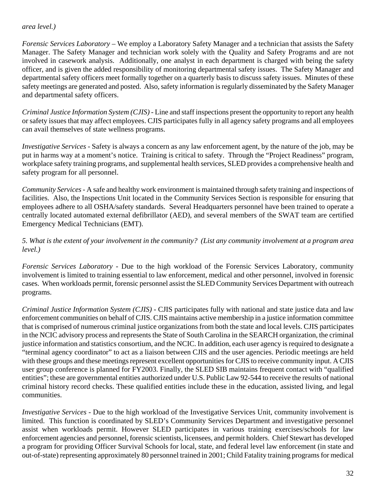#### *area level.)*

*Forensic Services Laboratory –* We employ a Laboratory Safety Manager and a technician that assists the Safety Manager. The Safety Manager and technician work solely with the Quality and Safety Programs and are not involved in casework analysis. Additionally, one analyst in each department is charged with being the safety officer, and is given the added responsibility of monitoring departmental safety issues. The Safety Manager and departmental safety officers meet formally together on a quarterly basis to discuss safety issues. Minutes of these safety meetings are generated and posted. Also, safety information is regularly disseminated by the Safety Manager and departmental safety officers.

*Criminal Justice Information System (CJIS) -* Line and staff inspections present the opportunity to report any health or safety issues that may affect employees. CJIS participates fully in all agency safety programs and all employees can avail themselves of state wellness programs.

*Investigative Services* - Safety is always a concern as any law enforcement agent, by the nature of the job, may be put in harms way at a moment's notice. Training is critical to safety. Through the "Project Readiness" program, workplace safety training programs, and supplemental health services, SLED provides a comprehensive health and safety program for all personnel.

*Community Services -* A safe and healthy work environment is maintained through safety training and inspections of facilities. Also, the Inspections Unit located in the Community Services Section is responsible for ensuring that employees adhere to all OSHA/safety standards. Several Headquarters personnel have been trained to operate a centrally located automated external defibrillator (AED), and several members of the SWAT team are certified Emergency Medical Technicians (EMT).

#### *5. What is the extent of your involvement in the community? (List any community involvement at a program area level.)*

*Forensic Services Laboratory -* Due to the high workload of the Forensic Services Laboratory, community involvement is limited to training essential to law enforcement, medical and other personnel, involved in forensic cases. When workloads permit, forensic personnel assist the SLED Community Services Department with outreach programs.

*Criminal Justice Information System (CJIS) -* CJIS participates fully with national and state justice data and law enforcement communities on behalf of CJIS. CJIS maintains active membership in a justice information committee that is comprised of numerous criminal justice organizations from both the state and local levels. CJIS participates in the NCIC advisory process and represents the State of South Carolina in the SEARCH organization, the criminal justice information and statistics consortium, and the NCIC. In addition, each user agency is required to designate a "terminal agency coordinator" to act as a liaison between CJIS and the user agencies. Periodic meetings are held with these groups and these meetings represent excellent opportunities for CJIS to receive community input. A CJIS user group conference is planned for FY2003. Finally, the SLED SIB maintains frequent contact with "qualified entities"; these are governmental entities authorized under U.S. Public Law 92-544 to receive the results of national criminal history record checks. These qualified entities include these in the education, assisted living, and legal communities.

*Investigative Services* - Due to the high workload of the Investigative Services Unit, community involvement is limited. This function is coordinated by SLED's Community Services Department and investigative personnel assist when workloads permit. However SLED participates in various training exercises/schools for law enforcement agencies and personnel, forensic scientists, licensees, and permit holders. Chief Stewart has developed a program for providing Officer Survival Schools for local, state, and federal level law enforcement (in state and out-of-state) representing approximately 80 personnel trained in 2001; Child Fatality training programs for medical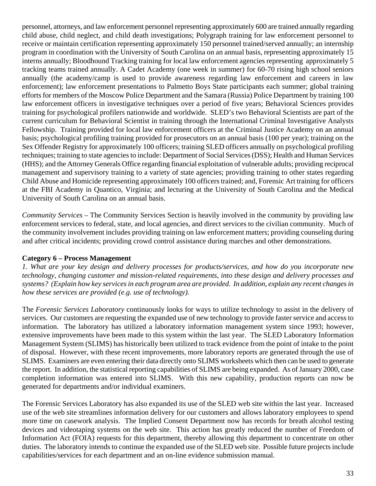personnel, attorneys, and law enforcement personnel representing approximately 600 are trained annually regarding child abuse, child neglect, and child death investigations; Polygraph training for law enforcement personnel to receive or maintain certification representing approximately 150 personnel trained/served annually; an internship program in coordination with the University of South Carolina on an annual basis, representing approximately 15 interns annually; Bloodhound Tracking training for local law enforcement agencies representing approximately 5 tracking teams trained annually. A Cadet Academy (one week in summer) for 60-70 rising high school seniors annually (the academy/camp is used to provide awareness regarding law enforcement and careers in law enforcement); law enforcement presentations to Palmetto Boys State participants each summer; global training efforts for members of the Moscow Police Department and the Samara (Russia) Police Department by training 100 law enforcement officers in investigative techniques over a period of five years; Behavioral Sciences provides training for psychological profilers nationwide and worldwide. SLED's two Behavioral Scientists are part of the current curriculum for Behavioral Scientist in training through the International Criminal Investigative Analysts Fellowship. Training provided for local law enforcement officers at the Criminal Justice Academy on an annual basis; psychological profiling training provided for prosecutors on an annual basis (100 per year); training on the Sex Offender Registry for approximately 100 officers; training SLED officers annually on psychological profiling techniques; training to state agencies to include: Department of Social Services (DSS); Health and Human Services (HHS); and the Attorney Generals Office regarding financial exploitation of vulnerable adults; providing reciprocal management and supervisory training to a variety of state agencies; providing training to other states regarding Child Abuse and Homicide representing approximately 100 officers trained; and, Forensic Art training for officers at the FBI Academy in Quantico, Virginia; and lecturing at the University of South Carolina and the Medical University of South Carolina on an annual basis.

*Community Services* – The Community Services Section is heavily involved in the community by providing law enforcement services to federal, state, and local agencies, and direct services to the civilian community. Much of the community involvement includes providing training on law enforcement matters; providing counseling during and after critical incidents; providing crowd control assistance during marches and other demonstrations.

#### **Category 6 – Process Management**

*1. What are your key design and delivery processes for products/services, and how do you incorporate new technology, changing customer and mission-related requirements, into these design and delivery processes and systems? (Explain how key services in each program area are provided. In addition, explain any recent changes in how these services are provided (e.g. use of technology).*

The *Forensic Services Laboratory* continuously looks for ways to utilize technology to assist in the delivery of services. Our customers are requesting the expanded use of new technology to provide faster service and access to information. The laboratory has utilized a laboratory information management system since 1993; however, extensive improvements have been made to this system within the last year. The SLED Laboratory Information Management System (SLIMS) has historically been utilized to track evidence from the point of intake to the point of disposal. However, with these recent improvements, more laboratory reports are generated through the use of SLIMS. Examiners are even entering their data directly onto SLIMS worksheets which then can be used to generate the report. In addition, the statistical reporting capabilities of SLIMS are being expanded. As of January 2000, case completion information was entered into SLIMS. With this new capability, production reports can now be generated for departments and/or individual examiners.

The Forensic Services Laboratory has also expanded its use of the SLED web site within the last year. Increased use of the web site streamlines information delivery for our customers and allows laboratory employees to spend more time on casework analysis. The Implied Consent Department now has records for breath alcohol testing devices and videotaping systems on the web site. This action has greatly reduced the number of Freedom of Information Act (FOIA) requests for this department, thereby allowing this department to concentrate on other duties. The laboratory intends to continue the expanded use of the SLED web site. Possible future projects include capabilities/services for each department and an on-line evidence submission manual.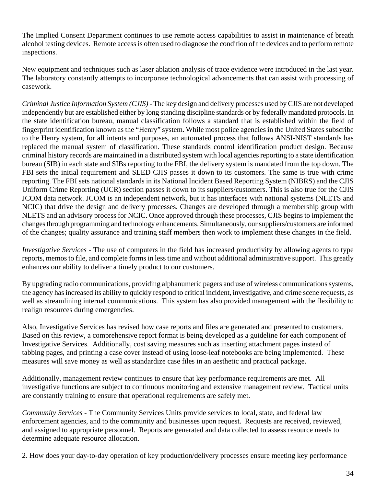The Implied Consent Department continues to use remote access capabilities to assist in maintenance of breath alcohol testing devices. Remote access is often used to diagnose the condition of the devices and to perform remote inspections.

New equipment and techniques such as laser ablation analysis of trace evidence were introduced in the last year. The laboratory constantly attempts to incorporate technological advancements that can assist with processing of casework.

*Criminal Justice Information System (CJIS) -* The key design and delivery processes used by CJIS are not developed independently but are established either by long standing discipline standards or by federally mandated protocols. In the state identification bureau, manual classification follows a standard that is established within the field of fingerprint identification known as the "Henry" system. While most police agencies in the United States subscribe to the Henry system, for all intents and purposes, an automated process that follows ANSI-NIST standards has replaced the manual system of classification. These standards control identification product design. Because criminal history records are maintained in a distributed system with local agencies reporting to a state identification bureau (SIB) in each state and SIBs reporting to the FBI, the delivery system is mandated from the top down. The FBI sets the initial requirement and SLED CJIS passes it down to its customers. The same is true with crime reporting. The FBI sets national standards in its National Incident Based Reporting System (NIBRS) and the CJIS Uniform Crime Reporting (UCR) section passes it down to its suppliers/customers. This is also true for the CJIS JCOM data network. JCOM is an independent network, but it has interfaces with national systems (NLETS and NCIC) that drive the design and delivery processes. Changes are developed through a membership group with NLETS and an advisory process for NCIC. Once approved through these processes, CJIS begins to implement the changes through programming and technology enhancements. Simultaneously, our suppliers/customers are informed of the changes; quality assurance and training staff members then work to implement these changes in the field.

*Investigative Services* - The use of computers in the field has increased productivity by allowing agents to type reports, memos to file, and complete forms in less time and without additional administrative support. This greatly enhances our ability to deliver a timely product to our customers.

By upgrading radio communications, providing alphanumeric pagers and use of wireless communications systems, the agency has increased its ability to quickly respond to critical incident, investigative, and crime scene requests, as well as streamlining internal communications. This system has also provided management with the flexibility to realign resources during emergencies.

Also, Investigative Services has revised how case reports and files are generated and presented to customers. Based on this review, a comprehensive report format is being developed as a guideline for each component of Investigative Services. Additionally, cost saving measures such as inserting attachment pages instead of tabbing pages, and printing a case cover instead of using loose-leaf notebooks are being implemented. These measures will save money as well as standardize case files in an aesthetic and practical package.

Additionally, management review continues to ensure that key performance requirements are met. All investigative functions are subject to continuous monitoring and extensive management review. Tactical units are constantly training to ensure that operational requirements are safely met.

*Community Services* **-** The Community Services Units provide services to local, state, and federal law enforcement agencies, and to the community and businesses upon request. Requests are received, reviewed, and assigned to appropriate personnel. Reports are generated and data collected to assess resource needs to determine adequate resource allocation.

2. How does your day-to-day operation of key production/delivery processes ensure meeting key performance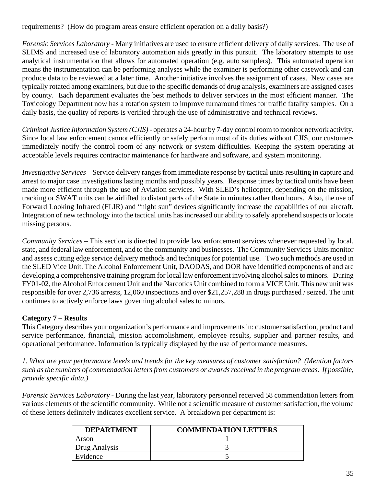requirements? (How do program areas ensure efficient operation on a daily basis?)

*Forensic Services Laboratory -* Many initiatives are used to ensure efficient delivery of daily services. The use of SLIMS and increased use of laboratory automation aids greatly in this pursuit. The laboratory attempts to use analytical instrumentation that allows for automated operation (e.g. auto samplers). This automated operation means the instrumentation can be performing analyses while the examiner is performing other casework and can produce data to be reviewed at a later time. Another initiative involves the assignment of cases. New cases are typically rotated among examiners, but due to the specific demands of drug analysis, examiners are assigned cases by county. Each department evaluates the best methods to deliver services in the most efficient manner. The Toxicology Department now has a rotation system to improve turnaround times for traffic fatality samples. On a daily basis, the quality of reports is verified through the use of administrative and technical reviews.

*Criminal Justice Information System (CJIS) -* operates a 24-hour by 7-day control room to monitor network activity. Since local law enforcement cannot efficiently or safely perform most of its duties without CJIS, our customers immediately notify the control room of any network or system difficulties. Keeping the system operating at acceptable levels requires contractor maintenance for hardware and software, and system monitoring.

*Investigative Services* – Service delivery ranges from immediate response by tactical units resulting in capture and arrest to major case investigations lasting months and possibly years. Response times by tactical units have been made more efficient through the use of Aviation services. With SLED's helicopter, depending on the mission, tracking or SWAT units can be airlifted to distant parts of the State in minutes rather than hours. Also, the use of Forward Looking Infrared (FLIR) and "night sun" devices significantly increase the capabilities of our aircraft. Integration of new technology into the tactical units has increased our ability to safely apprehend suspects or locate missing persons.

*Community Services* – This section is directed to provide law enforcement services whenever requested by local, state, and federal law enforcement, and to the community and businesses. The Community Services Units monitor and assess cutting edge service delivery methods and techniques for potential use. Two such methods are used in the SLED Vice Unit. The Alcohol Enforcement Unit, DAODAS, and DOR have identified components of and are developing a comprehensive training program for local law enforcement involving alcohol sales to minors. During FY01-02, the Alcohol Enforcement Unit and the Narcotics Unit combined to form a VICE Unit. This new unit was responsible for over 2,736 arrests, 12,060 inspections and over \$21,257,288 in drugs purchased / seized. The unit continues to actively enforce laws governing alcohol sales to minors.

# **Category 7 – Results**

This Category describes your organization's performance and improvements in: customer satisfaction, product and service performance, financial, mission accomplishment, employee results, supplier and partner results, and operational performance. Information is typically displayed by the use of performance measures.

*1. What are your performance levels and trends for the key measures of customer satisfaction? (Mention factors such as the numbers of commendation letters from customers or awards received in the program areas. If possible, provide specific data.)*

*Forensic Services Laboratory -* During the last year, laboratory personnel received 58 commendation letters from various elements of the scientific community. While not a scientific measure of customer satisfaction, the volume of these letters definitely indicates excellent service. A breakdown per department is:

| <b>DEPARTMENT</b> | <b>COMMENDATION LETTERS</b> |
|-------------------|-----------------------------|
| Arson             |                             |
| Drug Analysis     |                             |
| Evidence          |                             |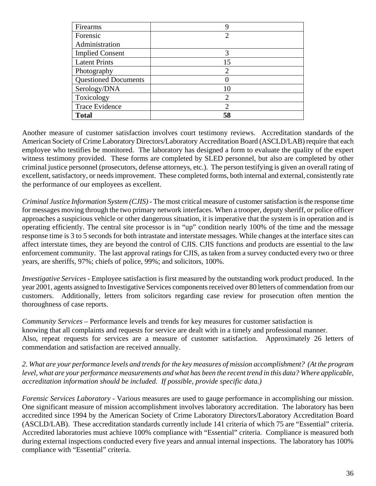| Firearms                    | 9                      |
|-----------------------------|------------------------|
| Forensic                    | 2                      |
| Administration              |                        |
| <b>Implied Consent</b>      | 3                      |
| <b>Latent Prints</b>        | 15                     |
| Photography                 | $\mathfrak{D}_{\cdot}$ |
| <b>Questioned Documents</b> | 0                      |
| Serology/DNA                | 10                     |
| Toxicology                  | 2                      |
| Trace Evidence              |                        |
| <b>Total</b>                | 58                     |

Another measure of customer satisfaction involves court testimony reviews. Accreditation standards of the American Society of Crime Laboratory Directors/Laboratory Accreditation Board (ASCLD/LAB) require that each employee who testifies be monitored. The laboratory has designed a form to evaluate the quality of the expert witness testimony provided. These forms are completed by SLED personnel, but also are completed by other criminal justice personnel (prosecutors, defense attorneys, etc.). The person testifying is given an overall rating of excellent, satisfactory, or needs improvement. These completed forms, both internal and external, consistently rate the performance of our employees as excellent.

*Criminal Justice Information System (CJIS) -* The most critical measure of customer satisfaction is the response time for messages moving through the two primary network interfaces. When a trooper, deputy sheriff, or police officer approaches a suspicious vehicle or other dangerous situation, it is imperative that the system is in operation and is operating efficiently. The central site processor is in "up" condition nearly 100% of the time and the message response time is 3 to 5 seconds for both intrastate and interstate messages. While changes at the interface sites can affect interstate times, they are beyond the control of CJIS. CJIS functions and products are essential to the law enforcement community. The last approval ratings for CJIS, as taken from a survey conducted every two or three years, are sheriffs, 97%; chiefs of police, 99%; and solicitors, 100%.

*Investigative Services* - Employee satisfaction is first measured by the outstanding work product produced. In the year 2001, agents assigned to Investigative Services components received over 80 letters of commendation from our customers. Additionally, letters from solicitors regarding case review for prosecution often mention the thoroughness of case reports.

*Community Services* – Performance levels and trends for key measures for customer satisfaction is knowing that all complaints and requests for service are dealt with in a timely and professional manner. Also, repeat requests for services are a measure of customer satisfaction. Approximately 26 letters of commendation and satisfaction are received annually.

*2. What are your performance levels and trends for the key measures of mission accomplishment? (At the program* level, what are your performance measurements and what has been the recent trend in this data? Where applicable, *accreditation information should be included. If possible, provide specific data.)*

*Forensic Services Laboratory* - Various measures are used to gauge performance in accomplishing our mission. One significant measure of mission accomplishment involves laboratory accreditation. The laboratory has been accredited since 1994 by the American Society of Crime Laboratory Directors/Laboratory Accreditation Board (ASCLD/LAB). These accreditation standards currently include 141 criteria of which 75 are "Essential" criteria. Accredited laboratories must achieve 100% compliance with "Essential" criteria. Compliance is measured both during external inspections conducted every five years and annual internal inspections. The laboratory has 100% compliance with "Essential" criteria.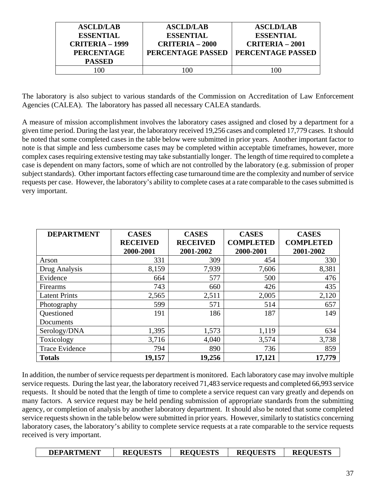| <b>ASCLD/LAB</b><br><b>ESSENTIAL</b><br><b>CRITERIA – 1999</b><br><b>PERCENTAGE</b><br><b>PASSED</b> | <b>ASCLD/LAB</b><br><b>ESSENTIAL</b><br><b>CRITERIA – 2000</b><br>PERCENTAGE PASSED | <b>ASCLD/LAB</b><br><b>ESSENTIAL</b><br>$CRITERIA - 2001$<br>PERCENTAGE PASSED |
|------------------------------------------------------------------------------------------------------|-------------------------------------------------------------------------------------|--------------------------------------------------------------------------------|
| 00                                                                                                   | 100                                                                                 | 100                                                                            |

The laboratory is also subject to various standards of the Commission on Accreditation of Law Enforcement Agencies (CALEA). The laboratory has passed all necessary CALEA standards.

A measure of mission accomplishment involves the laboratory cases assigned and closed by a department for a given time period. During the last year, the laboratory received 19,256 cases and completed 17,779 cases. It should be noted that some completed cases in the table below were submitted in prior years. Another important factor to note is that simple and less cumbersome cases may be completed within acceptable timeframes, however, more complex cases requiring extensive testing may take substantially longer. The length of time required to complete a case is dependent on many factors, some of which are not controlled by the laboratory (e.g. submission of proper subject standards). Other important factors effecting case turnaround time are the complexity and number of service requests per case. However, the laboratory's ability to complete cases at a rate comparable to the cases submitted is very important.

| <b>DEPARTMENT</b>    | <b>CASES</b>    | <b>CASES</b>    | <b>CASES</b>     | <b>CASES</b>     |
|----------------------|-----------------|-----------------|------------------|------------------|
|                      | <b>RECEIVED</b> | <b>RECEIVED</b> | <b>COMPLETED</b> | <b>COMPLETED</b> |
|                      | 2000-2001       | 2001-2002       | 2000-2001        | 2001-2002        |
| Arson                | 331             | 309             | 454              | 330              |
| Drug Analysis        | 8,159           | 7,939           | 7,606            | 8,381            |
| Evidence             | 664             | 577             | 500              | 476              |
| Firearms             | 743             | 660             | 426              | 435              |
| <b>Latent Prints</b> | 2,565           | 2,511           | 2,005            | 2,120            |
| Photography          | 599             | 571             | 514              | 657              |
| Questioned           | 191             | 186             | 187              | 149              |
| Documents            |                 |                 |                  |                  |
| Serology/DNA         | 1,395           | 1,573           | 1,119            | 634              |
| Toxicology           | 3,716           | 4,040           | 3,574            | 3,738            |
| Trace Evidence       | 794             | 890             | 736              | 859              |
| <b>Totals</b>        | 19,157          | 19,256          | 17,121           | 17,779           |

In addition, the number of service requests per department is monitored. Each laboratory case may involve multiple service requests. During the last year, the laboratory received 71,483 service requests and completed 66,993 service requests. It should be noted that the length of time to complete a service request can vary greatly and depends on many factors. A service request may be held pending submission of appropriate standards from the submitting agency, or completion of analysis by another laboratory department. It should also be noted that some completed service requests shown in the table below were submitted in prior years. However, similarly to statistics concerning laboratory cases, the laboratory's ability to complete service requests at a rate comparable to the service requests received is very important.

| <b>DEPARTMENT</b> | <b>REQUESTS</b> | <b>REQUESTS</b> | <b>REQUESTS</b> | <b>REQUESTS</b> |
|-------------------|-----------------|-----------------|-----------------|-----------------|
|                   |                 |                 |                 |                 |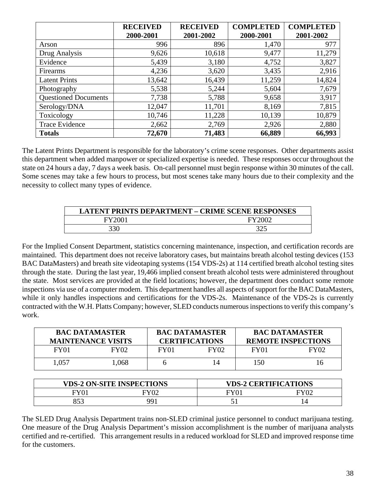|                             | <b>RECEIVED</b> | <b>RECEIVED</b> | <b>COMPLETED</b> | <b>COMPLETED</b> |
|-----------------------------|-----------------|-----------------|------------------|------------------|
|                             | 2000-2001       | 2001-2002       | 2000-2001        | 2001-2002        |
| Arson                       | 996             | 896             | 1,470            | 977              |
| Drug Analysis               | 9,626           | 10,618          | 9,477            | 11,279           |
| Evidence                    | 5,439           | 3,180           | 4,752            | 3,827            |
| Firearms                    | 4,236           | 3,620           | 3,435            | 2,916            |
| <b>Latent Prints</b>        | 13,642          | 16,439          | 11,259           | 14,824           |
| Photography                 | 5,538           | 5,244           | 5,604            | 7,679            |
| <b>Questioned Documents</b> | 7,738           | 5,788           | 9,658            | 3,917            |
| Serology/DNA                | 12,047          | 11,701          | 8,169            | 7,815            |
| Toxicology                  | 10,746          | 11,228          | 10,139           | 10,879           |
| Trace Evidence              | 2,662           | 2,769           | 2,926            | 2,880            |
| <b>Totals</b>               | 72,670          | 71,483          | 66,889           | 66,993           |

The Latent Prints Department is responsible for the laboratory's crime scene responses. Other departments assist this department when added manpower or specialized expertise is needed. These responses occur throughout the state on 24 hours a day, 7 days a week basis. On-call personnel must begin response within 30 minutes of the call. Some scenes may take a few hours to process, but most scenes take many hours due to their complexity and the necessity to collect many types of evidence.

| LATENT PRINTS DEPARTMENT – CRIME SCENE RESPONSES |        |  |  |  |
|--------------------------------------------------|--------|--|--|--|
| FY2001                                           | EY2000 |  |  |  |
| 330                                              |        |  |  |  |

For the Implied Consent Department, statistics concerning maintenance, inspection, and certification records are maintained. This department does not receive laboratory cases, but maintains breath alcohol testing devices (153 BAC DataMasters) and breath site videotaping systems (154 VDS-2s) at 114 certified breath alcohol testing sites through the state. During the last year, 19,466 implied consent breath alcohol tests were administered throughout the state. Most services are provided at the field locations; however, the department does conduct some remote inspections via use of a computer modem. This department handles all aspects of support for the BAC DataMasters, while it only handles inspections and certifications for the VDS-2s. Maintenance of the VDS-2s is currently contracted with the W.H. Platts Company; however, SLED conducts numerous inspections to verify this company's work.

| <b>BAC DATAMASTER</b><br><b>MAINTENANCE VISITS</b> |      | <b>BAC DATAMASTER</b><br><b>CERTIFICATIONS</b> |                  | <b>BAC DATAMASTER</b><br><b>REMOTE INSPECTIONS</b> |      |
|----------------------------------------------------|------|------------------------------------------------|------------------|----------------------------------------------------|------|
| FY <sub>01</sub>                                   | FY02 | FY01                                           | FY <sub>02</sub> | FY01                                               | FY02 |
| 1,057                                              | .068 |                                                |                  | 150                                                | 16   |

| <b>VDS-2 ON-SITE INSPECTIONS</b> |      |      | <b>VDS-2 CERTIFICATIONS</b> |
|----------------------------------|------|------|-----------------------------|
| <b>FY01</b>                      | FY02 | FY01 |                             |
| ロビク                              | 991  |      |                             |

The SLED Drug Analysis Department trains non-SLED criminal justice personnel to conduct marijuana testing. One measure of the Drug Analysis Department's mission accomplishment is the number of marijuana analysts certified and re-certified. This arrangement results in a reduced workload for SLED and improved response time for the customers.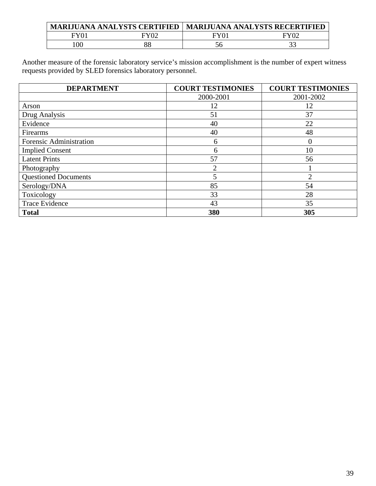|    | <b>MARIJUANA ANALYSTS CERTIFIED</b> |      | <b>MARIJUANA ANALYSTS RECERTIFIED</b> |
|----|-------------------------------------|------|---------------------------------------|
|    |                                     | FY01 |                                       |
| 0C | 88                                  |      |                                       |

Another measure of the forensic laboratory service's mission accomplishment is the number of expert witness requests provided by SLED forensics laboratory personnel.

| <b>DEPARTMENT</b>           | <b>COURT TESTIMONIES</b> | <b>COURT TESTIMONIES</b> |
|-----------------------------|--------------------------|--------------------------|
|                             | 2000-2001                | 2001-2002                |
| Arson                       | 12                       | 12                       |
| Drug Analysis               | 51                       | 37                       |
| Evidence                    | 40                       | 22                       |
| Firearms                    | 40                       | 48                       |
| Forensic Administration     | 6                        | $\Omega$                 |
| <b>Implied Consent</b>      | 6                        | 10                       |
| <b>Latent Prints</b>        | 57                       | 56                       |
| Photography                 | 2                        |                          |
| <b>Questioned Documents</b> |                          | $\overline{2}$           |
| Serology/DNA                | 85                       | 54                       |
| Toxicology                  | 33                       | 28                       |
| <b>Trace Evidence</b>       | 35<br>43                 |                          |
| <b>Total</b>                | 380                      | 305                      |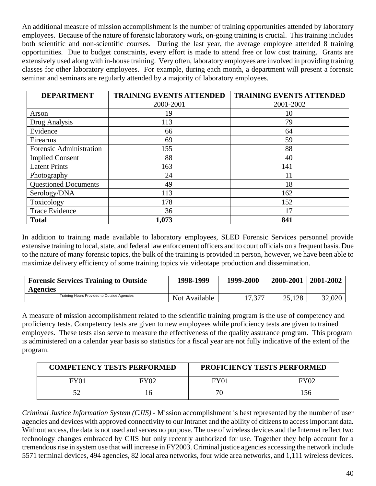An additional measure of mission accomplishment is the number of training opportunities attended by laboratory employees. Because of the nature of forensic laboratory work, on-going training is crucial. This training includes both scientific and non-scientific courses. During the last year, the average employee attended 8 training opportunities. Due to budget constraints, every effort is made to attend free or low cost training. Grants are extensively used along with in-house training. Very often, laboratory employees are involved in providing training classes for other laboratory employees. For example, during each month, a department will present a forensic seminar and seminars are regularly attended by a majority of laboratory employees.

| <b>DEPARTMENT</b>           | <b>TRAINING EVENTS ATTENDED</b> | <b>TRAINING EVENTS ATTENDED</b> |
|-----------------------------|---------------------------------|---------------------------------|
|                             | 2000-2001                       | 2001-2002                       |
| Arson                       | 19                              | 10                              |
| Drug Analysis               | 113                             | 79                              |
| Evidence                    | 66                              | 64                              |
| Firearms                    | 69                              | 59                              |
| Forensic Administration     | 155                             | 88                              |
| <b>Implied Consent</b>      | 88                              | 40                              |
| <b>Latent Prints</b>        | 163                             | 141                             |
| Photography                 | 24                              | 11                              |
| <b>Questioned Documents</b> | 49                              | 18                              |
| Serology/DNA                | 113                             | 162                             |
| Toxicology                  | 178                             | 152                             |
| <b>Trace Evidence</b>       | 36                              | 17                              |
| <b>Total</b>                | 1,073                           | 841                             |

In addition to training made available to laboratory employees, SLED Forensic Services personnel provide extensive training to local, state, and federal law enforcement officers and to court officials on a frequent basis. Due to the nature of many forensic topics, the bulk of the training is provided in person, however, we have been able to maximize delivery efficiency of some training topics via videotape production and dissemination.

| <b>Forensic Services Training to Outside</b><br><b>Agencies</b> | 1998-1999     | 1999-2000 | 2000-2001 | 2001-2002 |
|-----------------------------------------------------------------|---------------|-----------|-----------|-----------|
| Training Hours Provided to Outside Agencies                     | Not Available |           | 25,128    | 32,020    |

A measure of mission accomplishment related to the scientific training program is the use of competency and proficiency tests. Competency tests are given to new employees while proficiency tests are given to trained employees. These tests also serve to measure the effectiveness of the quality assurance program. This program is administered on a calendar year basis so statistics for a fiscal year are not fully indicative of the extent of the program.

| <b>COMPETENCY TESTS PERFORMED</b> |             |      | <b>PROFICIENCY TESTS PERFORMED</b> |
|-----------------------------------|-------------|------|------------------------------------|
| FY01                              | <b>FY02</b> | FY01 | FY02                               |
|                                   |             |      |                                    |

*Criminal Justice Information System (CJIS) -* Mission accomplishment is best represented by the number of user agencies and devices with approved connectivity to our Intranet and the ability of citizens to access important data. Without access, the data is not used and serves no purpose. The use of wireless devices and the Internet reflect two technology changes embraced by CJIS but only recently authorized for use. Together they help account for a tremendous rise in system use that will increase in FY2003. Criminal justice agencies accessing the network include 5571 terminal devices, 494 agencies, 82 local area networks, four wide area networks, and 1,111 wireless devices.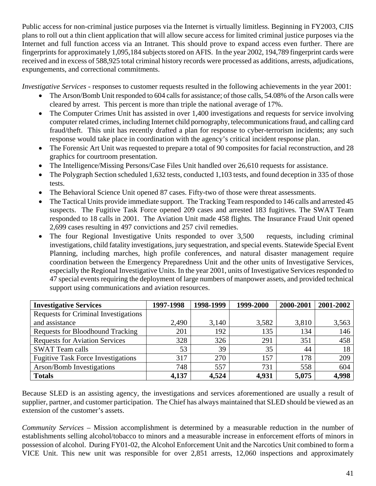Public access for non-criminal justice purposes via the Internet is virtually limitless. Beginning in FY2003, CJIS plans to roll out a thin client application that will allow secure access for limited criminal justice purposes via the Internet and full function access via an Intranet. This should prove to expand access even further. There are fingerprints for approximately 1,095,184 subjects stored on AFIS. In the year 2002, 194,789 fingerprint cards were received and in excess of 588,925 total criminal history records were processed as additions, arrests, adjudications, expungements, and correctional commitments.

*Investigative Services* - responses to customer requests resulted in the following achievements in the year 2001:

- The Arson/Bomb Unit responded to 604 calls for assistance; of those calls, 54.08% of the Arson calls were cleared by arrest. This percent is more than triple the national average of 17%.
- The Computer Crimes Unit has assisted in over 1,400 investigations and requests for service involving computer related crimes, including Internet child pornography, telecommunications fraud, and calling card fraud/theft. This unit has recently drafted a plan for response to cyber-terrorism incidents; any such response would take place in coordination with the agency's critical incident response plan.
- The Forensic Art Unit was requested to prepare a total of 90 composites for facial reconstruction, and 28 graphics for courtroom presentation.
- The Intelligence/Missing Persons/Case Files Unit handled over 26,610 requests for assistance.
- The Polygraph Section scheduled 1,632 tests, conducted 1,103 tests, and found deception in 335 of those tests.
- The Behavioral Science Unit opened 87 cases. Fifty-two of those were threat assessments.
- The Tactical Units provide immediate support. The Tracking Team responded to 146 calls and arrested 45 suspects. The Fugitive Task Force opened 209 cases and arrested 183 fugitives. The SWAT Team responded to 18 calls in 2001. The Aviation Unit made 458 flights. The Insurance Fraud Unit opened 2,699 cases resulting in 497 convictions and 257 civil remedies.
- The four Regional Investigative Units responded to over 3,500 requests, including criminal investigations, child fatality investigations, jury sequestration, and special events. Statewide Special Event Planning, including marches, high profile conferences, and natural disaster management require coordination between the Emergency Preparedness Unit and the other units of Investigative Services, especially the Regional Investigative Units. In the year 2001, units of Investigative Services responded to 47 special events requiring the deployment of large numbers of manpower assets, and provided technical support using communications and aviation resources.

| <b>Investigative Services</b>               | 1997-1998 | 1998-1999 | 1999-2000 | 2000-2001 | 2001-2002 |
|---------------------------------------------|-----------|-----------|-----------|-----------|-----------|
| <b>Requests for Criminal Investigations</b> |           |           |           |           |           |
| and assistance                              | 2,490     | 3,140     | 3,582     | 3,810     | 3,563     |
| <b>Requests for Bloodhound Tracking</b>     | 201       | 192       | 135       | 134       | 146       |
| <b>Requests for Aviation Services</b>       | 328       | 326       | 291       | 351       | 458       |
| <b>SWAT Team calls</b>                      | 53        | 39        | 35        | 44        | 18        |
| <b>Fugitive Task Force Investigations</b>   | 317       | 270       | 157       | 178       | 209       |
| <b>Arson/Bomb Investigations</b>            | 748       | 557       | 731       | 558       | 604       |
| <b>Totals</b>                               | 4,137     | 4,524     | 4,931     | 5,075     | 4,998     |

Because SLED is an assisting agency, the investigations and services aforementioned are usually a result of supplier, partner, and customer participation. The Chief has always maintained that SLED should be viewed as an extension of the customer's assets.

*Community Services* – Mission accomplishment is determined by a measurable reduction in the number of establishments selling alcohol/tobacco to minors and a measurable increase in enforcement efforts of minors in possession of alcohol. During FY01-02, the Alcohol Enforcement Unit and the Narcotics Unit combined to form a VICE Unit. This new unit was responsible for over 2,851 arrests, 12,060 inspections and approximately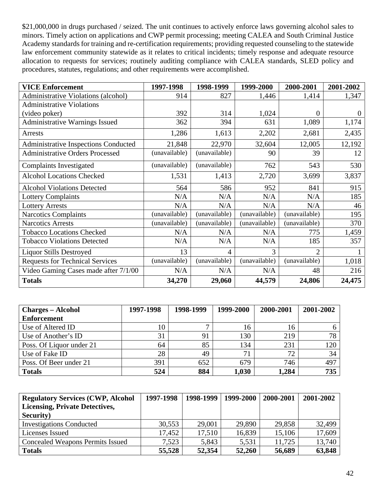\$21,000,000 in drugs purchased / seized. The unit continues to actively enforce laws governing alcohol sales to minors. Timely action on applications and CWP permit processing; meeting CALEA and South Criminal Justice Academy standards for training and re-certification requirements; providing requested counseling to the statewide law enforcement community statewide as it relates to critical incidents; timely response and adequate resource allocation to requests for services; routinely auditing compliance with CALEA standards, SLED policy and procedures, statutes, regulations; and other requirements were accomplished.

| <b>VICE Enforcement</b>                     | 1997-1998     | 1998-1999      | 1999-2000     | 2000-2001      | 2001-2002 |
|---------------------------------------------|---------------|----------------|---------------|----------------|-----------|
| <b>Administrative Violations (alcohol)</b>  | 914           | 827            | 1,446         | 1,414          | 1,347     |
| <b>Administrative Violations</b>            |               |                |               |                |           |
| (video poker)                               | 392           | 314            | 1,024         | $\Omega$       | $\theta$  |
| <b>Administrative Warnings Issued</b>       | 362           | 394            | 631           | 1,089          | 1,174     |
| Arrests                                     | 1,286         | 1,613          | 2,202         | 2,681          | 2,435     |
| <b>Administrative Inspections Conducted</b> | 21,848        | 22,970         | 32,604        | 12,005         | 12,192    |
| <b>Administrative Orders Processed</b>      | (unavailable) | (unavailable)  | 90            | 39             | 12        |
| <b>Complaints Investigated</b>              | (unavailable) | (unavailable)  | 762           | 543            | 530       |
| <b>Alcohol Locations Checked</b>            | 1,531         | 1,413          | 2,720         | 3,699          | 3,837     |
| <b>Alcohol Violations Detected</b>          | 564           | 586            | 952           | 841            | 915       |
| <b>Lottery Complaints</b>                   | N/A           | N/A            | N/A           | N/A            | 185       |
| <b>Lottery Arrests</b>                      | N/A           | N/A            | N/A           | N/A            | 46        |
| <b>Narcotics Complaints</b>                 | (unavailable) | (unavailable)  | (unavailable) | (unavailable)  | 195       |
| <b>Narcotics Arrests</b>                    | (unavailable) | (unavailable)  | (unavailable) | (unavailable)  | 370       |
| <b>Tobacco Locations Checked</b>            | N/A           | N/A            | N/A           | 775            | 1,459     |
| <b>Tobacco Violations Detected</b>          | N/A           | N/A            | N/A           | 185            | 357       |
| <b>Liquor Stills Destroyed</b>              | 13            | $\overline{4}$ | 3             | $\overline{2}$ |           |
| <b>Requests for Technical Services</b>      | (unavailable) | (unavailable)  | (unavailable) | (unavailable)  | 1,018     |
| Video Gaming Cases made after 7/1/00        | N/A           | N/A            | N/A           | 48             | 216       |
| <b>Totals</b>                               | 34,270        | 29,060         | 44,579        | 24,806         | 24,475    |

| <b>Charges – Alcohol</b> | 1997-1998 | 1998-1999 | 1999-2000   | 2000-2001 | 2001-2002 |
|--------------------------|-----------|-----------|-------------|-----------|-----------|
| <b>Enforcement</b>       |           |           |             |           |           |
| Use of Altered ID        | 10        |           | 16          | 16        |           |
| Use of Another's ID      | 31        | 91        | 130         | 219       | 78        |
| Poss. Of Liquor under 21 | 64        | 85        | 134         | 231       | 120       |
| Use of Fake ID           | 28        | 49        | $7^{\circ}$ | 72        | 34        |
| Poss. Of Beer under 21   | 391       | 652       | 679         | 746       | 497       |
| <b>Totals</b>            | 524       | 884       | 1,030       | 1,284     | 735       |

| <b>Regulatory Services (CWP, Alcohol)</b> | 1997-1998 | 1998-1999 | 1999-2000 | 2000-2001 | 2001-2002 |
|-------------------------------------------|-----------|-----------|-----------|-----------|-----------|
| <b>Licensing, Private Detectives,</b>     |           |           |           |           |           |
| <b>Security</b> )                         |           |           |           |           |           |
| <b>Investigations Conducted</b>           | 30,553    | 29,001    | 29,890    | 29,858    | 32,499    |
| Licenses Issued                           | 17,452    | 17,510    | 16,839    | 15,106    | 17,609    |
| <b>Concealed Weapons Permits Issued</b>   | 7.523     | 5,843     | 5,531     | 11,725    | 13,740    |
| <b>Totals</b>                             | 55,528    | 52,354    | 52,260    | 56,689    | 63,848    |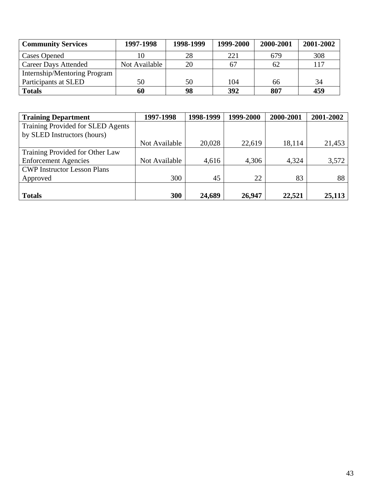| <b>Community Services</b>    | 1997-1998     | 1998-1999 | 1999-2000 | 2000-2001 | 2001-2002 |
|------------------------------|---------------|-----------|-----------|-----------|-----------|
| <b>Cases Opened</b>          |               | 28        | 221       | 679       | 308       |
| <b>Career Days Attended</b>  | Not Available | 20        |           | 62        | 117       |
| Internship/Mentoring Program |               |           |           |           |           |
| Participants at SLED         | 50            | 50        | 104       | 66        | 34        |
| <b>Totals</b>                | 60            | 98        | 392       | 807       | 459       |

| <b>Training Department</b>         | 1997-1998     | 1998-1999 | 1999-2000 | 2000-2001 | 2001-2002 |
|------------------------------------|---------------|-----------|-----------|-----------|-----------|
| Training Provided for SLED Agents  |               |           |           |           |           |
| by SLED Instructors (hours)        |               |           |           |           |           |
|                                    | Not Available | 20,028    | 22,619    | 18,114    | 21,453    |
| Training Provided for Other Law    |               |           |           |           |           |
| <b>Enforcement Agencies</b>        | Not Available | 4,616     | 4,306     | 4,324     | 3,572     |
| <b>CWP Instructor Lesson Plans</b> |               |           |           |           |           |
| Approved                           | 300           | 45        | 22        | 83        | 88        |
|                                    |               |           |           |           |           |
| <b>Totals</b>                      | 300           | 24,689    | 26,947    | 22,521    | 25,113    |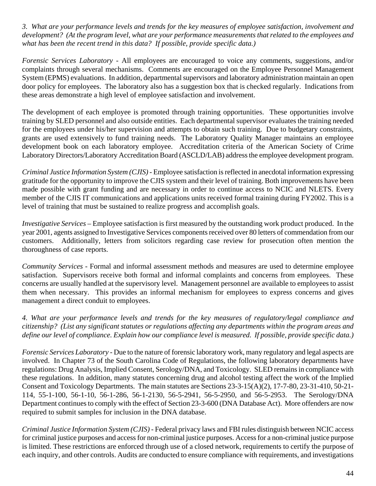*3. What are your performance levels and trends for the key measures of employee satisfaction, involvement and development? (At the program level, what are your performance measurements that related to the employees and what has been the recent trend in this data? If possible, provide specific data.)*

*Forensic Services Laboratory -* All employees are encouraged to voice any comments, suggestions, and/or complaints through several mechanisms. Comments are encouraged on the Employee Personnel Management System (EPMS) evaluations. In addition, departmental supervisors and laboratory administration maintain an open door policy for employees. The laboratory also has a suggestion box that is checked regularly. Indications from these areas demonstrate a high level of employee satisfaction and involvement.

The development of each employee is promoted through training opportunities. These opportunities involve training by SLED personnel and also outside entities. Each departmental supervisor evaluates the training needed for the employees under his/her supervision and attempts to obtain such training. Due to budgetary constraints, grants are used extensively to fund training needs. The Laboratory Quality Manager maintains an employee development book on each laboratory employee. Accreditation criteria of the American Society of Crime Laboratory Directors/Laboratory Accreditation Board (ASCLD/LAB) address the employee development program.

*Criminal Justice Information System (CJIS) -* Employee satisfaction is reflected in anecdotal information expressing gratitude for the opportunity to improve the CJIS system and their level of training. Both improvements have been made possible with grant funding and are necessary in order to continue access to NCIC and NLETS. Every member of the CJIS IT communications and applications units received formal training during FY2002. This is a level of training that must be sustained to realize progress and accomplish goals.

*Investigative Services –* Employee satisfaction is first measured by the outstanding work product produced. In the year 2001, agents assigned to Investigative Services components received over 80 letters of commendation from our customers. Additionally, letters from solicitors regarding case review for prosecution often mention the thoroughness of case reports.

*Community Services* - Formal and informal assessment methods and measures are used to determine employee satisfaction. Supervisors receive both formal and informal complaints and concerns from employees. These concerns are usually handled at the supervisory level. Management personnel are available to employees to assist them when necessary. This provides an informal mechanism for employees to express concerns and gives management a direct conduit to employees.

*4. What are your performance levels and trends for the key measures of regulatory/legal compliance and citizenship? (List any significant statutes or regulations affecting any departments within the program areas and define our level of compliance. Explain how our compliance level is measured. If possible, provide specific data.)*

*Forensic Services Laboratory -* Due to the nature of forensic laboratory work, many regulatory and legal aspects are involved. In Chapter 73 of the South Carolina Code of Regulations, the following laboratory departments have regulations: Drug Analysis, Implied Consent, Serology/DNA, and Toxicology. SLED remains in compliance with these regulations. In addition, many statutes concerning drug and alcohol testing affect the work of the Implied Consent and Toxicology Departments. The main statutes are Sections 23-3-15(A)(2), 17-7-80, 23-31-410, 50-21- 114, 55-1-100, 56-1-10, 56-1-286, 56-1-2130, 56-5-2941, 56-5-2950, and 56-5-2953. The Serology/DNA Department continues to comply with the effect of Section 23-3-600 (DNA Database Act). More offenders are now required to submit samples for inclusion in the DNA database.

*Criminal Justice Information System (CJIS) -* Federal privacy laws and FBI rules distinguish between NCIC access for criminal justice purposes and access for non-criminal justice purposes. Access for a non-criminal justice purpose is limited. These restrictions are enforced through use of a closed network, requirements to certify the purpose of each inquiry, and other controls. Audits are conducted to ensure compliance with requirements, and investigations